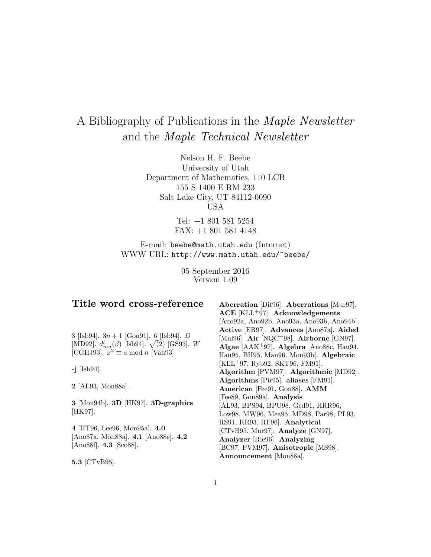# A Bibliography of Publications in the Maple Newsletter and the Maple Technical Newsletter

Nelson H. F. Beebe University of Utah Department of Mathematics, 110 LCB 155 S 1400 E RM 233 Salt Lake City, UT 84112-0090 USA

> Tel: +1 801 581 5254 FAX: +1 801 581 4148

E-mail: beebe@math.utah.edu (Internet) WWW URL: http://www.math.utah.edu/~beebe/

> 05 September 2016 Version 1.09

## **Title word cross-reference**

3 [Isb94].  $3n + 1$  [Gon91]. 6 [Isb94]. D [MD92].  $d_{mn}^l(\beta)$  [Isb94].  $\sqrt{2}$  [GS93]. W [CGHJ93].  $x^2 \equiv a \mod n$  [Vah93].

**-j** [Isb94].

**2** [AL93, Mon88a].

**3** [Mon94b]. **3D** [HK97]. **3D-graphics** [HK97].

**4** [HT96, Lee96, Mon95a]. **4.0** [Ano87a, Mon88a]. **4.1** [Ano88e]. **4.2** [Ano88f]. **4.3** [Sco88].

**5.3** [CTvB95].

**Aberration** [Dit96]. **Aberrations** [Mur97]. **ACE** [KLL<sup>+</sup>97]. **Acknowledgements** [Ano92a, Ano92b, Ano93a, Ano93b, Ano94b]. **Active** [ER97]. **Advances** [Ano87a]. **Aided** [Mul96]. **Air** [NQC<sup>+</sup>98]. **Airborne** [GN97]. **Algae** [AAK<sup>+</sup>97]. **Algebra** [Ano88c, Hau94, Hau95, BH95, Man96, Mon93b]. **Algebraic** [KLL<sup>+</sup>97, Ryb92, SKT96, FM91]. **Algorithm** [PVM97]. **Algorithmic** [MD92]. **Algorithms** [Pir95]. **aliases** [FM91]. **American** [Fee91, Gon88]. **AMM** [Fee89, Gon89a]. **Analysis** [AL93, BPS94, BPU98, Ged91, HRR96, Low98, MW96, Mea95, MD98, Par98, PL93, RS91, RR93, RF96]. **Analytical** [CTvB95, Mur97]. **Analyze** [GN97]. **Analyzer** [Rie96]. **Analyzing** [BC97, PVM97]. **Anisotropic** [MS98]. **Announcement** [Mon88a].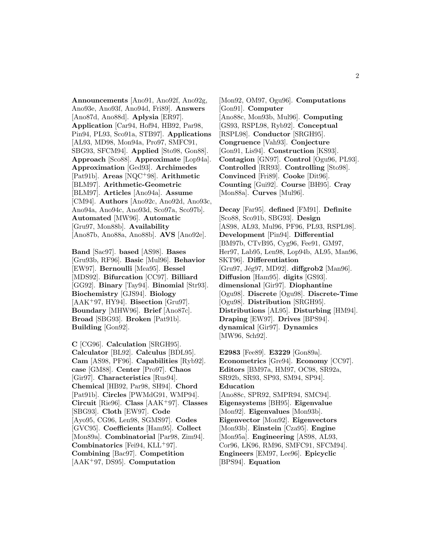**Announcements** [Ano91, Ano92f, Ano92g, Ano93e, Ano93f, Ano94d, Fri89]. **Answers** [Ano87d, Ano88d]. **Aplysia** [ER97]. **Application** [Car94, Hof94, HB92, Par98, Pin94, PL93, Sco91a, STB97]. **Applications** [AL93, MD98, Mon94a, Pro97, SMFC91, SBG93, SFCM94]. **Applied** [Sto98, Gon88]. **Approach** [Sco88]. **Approximate** [Lop94a]. **Approximation** [Ged93]. **Archimedes** [Pat91b]. **Areas** [NQC<sup>+</sup>98]. **Arithmetic** [BLM97]. **Arithmetic-Geometric** [BLM97]. **Articles** [Ano94a]. **Assume** [CM94]. **Authors** [Ano92c, Ano92d, Ano93c, Ano94a, Ano94c, Ano93d, Sco97a, Sco97b]. **Automated** [MW96]. **Automatic** [Gru97, Mon88b]. **Availability** [Ano87b, Ano88a, Ano88b]. **AVS** [Ano92e].

**Band** [Sac97]. **based** [AS98]. **Bases** [Gru93b, RF96]. **Basic** [Mul96]. **Behavior** [EW97]. **Bernoulli** [Mea95]. **Bessel** [MDS92]. **Bifurcation** [CC97]. **Billiard** [GG92]. **Binary** [Tay94]. **Binomial** [Str93]. **Biochemistry** [GJS94]. **Biology** [AAK<sup>+</sup>97, HY94]. **Bisection** [Gru97]. **Boundary** [MHW96]. **Brief** [Ano87c]. **Broad** [SBG93]. **Broken** [Pat91b]. **Building** [Gon92].

**C** [CG96]. **Calculation** [SRGH95]. **Calculator** [BL92]. **Calculus** [BDL95]. **Cam** [AS98, PF96]. **Capabilities** [Ryb92]. **case** [GM88]. **Center** [Pro97]. **Chaos** [Gir97]. **Characteristics** [Rus94]. **Chemical** [HB92, Par98, SH94]. **Chord** [Pat91b]. **Circles** [PWMdG91, WMP94]. **Circuit** [Rie96]. **Class** [AAK<sup>+</sup>97]. **Classes** [SBG93]. **Cloth** [EW97]. **Code** [Ayo95, CG96, Len98, SGMS97]. **Codes** [GVC95]. **Coefficients** [Ham95]. **Collect** [Mon89a]. **Combinatorial** [Par98, Zim94]. **Combinatorics** [Fei94, KLL<sup>+</sup>97]. **Combining** [Bac97]. **Competition** [AAK<sup>+</sup>97, DS95]. **Computation**

[Mon92, OM97, Ogu96]. **Computations** [Gon91]. **Computer** [Ano88c, Mon93b, Mul96]. **Computing** [GS93, RSPL98, Ryb92]. **Conceptual** [RSPL98]. **Conductor** [SRGH95]. **Congruence** [Vah93]. **Conjecture** [Gon91, Lis94]. **Construction** [KS93]. **Contagion** [GN97]. **Control** [Ogu96, PL93]. **Controlled** [RR93]. **Controlling** [Sto98]. **Convinced** [Fri89]. **Cooke** [Dit96]. **Counting** [Gui92]. **Course** [BH95]. **Cray** [Mon88a]. **Curves** [Mul96].

**Decay** [Far95]. **defined** [FM91]. **Definite** [Sco88, Sco91b, SBG93]. **Design** [AS98, AL93, Mul96, PF96, PL93, RSPL98]. **Development** [Pin94]. **Differential** [BM97b, CTvB95, Cyg96, Fee91, GM97, Her97, Lab95, Len98, Lop94b, AL95, Man96, SKT96]. **Differentiation** [Gru97, Jég97, MD92]. **diffgrob2** [Man96]. **Diffusion** [Ham95]. **digits** [GS93]. **dimensional** [Gir97]. **Diophantine** [Ogu98]. **Discrete** [Ogu98]. **Discrete-Time** [Ogu98]. **Distribution** [SRGH95]. **Distributions** [AL95]. **Disturbing** [HM94]. **Draping** [EW97]. **Drives** [BPS94]. **dynamical** [Gir97]. **Dynamics** [MW96, Sch92].

**E2983** [Fee89]. **E3229** [Gon89a]. **Econometrics** [Gre94]. **Economy** [CC97]. **Editors** [BM97a, HM97, OC98, SR92a, SR92b, SR93, SP93, SM94, SP94]. **Education** [Ano88c, SPR92, SMPR94, SMC94]. **Eigensystems** [BH95]. **Eigenvalue** [Mon92]. **Eigenvalues** [Mon93b]. **Eigenvector** [Mon92]. **Eigenvectors** [Mon93b]. **Einstein** [Cza95]. **Engine** [Mon95a]. **Engineering** [AS98, AL93, Cor96, LK96, RM96, SMFC91, SFCM94]. **Engineers** [EM97, Lee96]. **Epicyclic** [BPS94]. **Equation**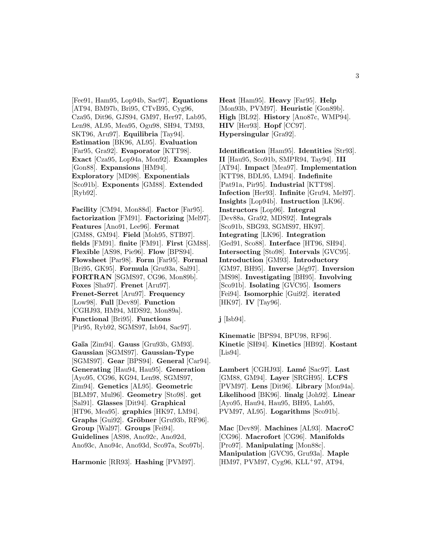[Fee91, Ham95, Lop94b, Sac97]. **Equations** [AT94, BM97b, Bri95, CTvB95, Cyg96, Cza95, Dit96, GJS94, GM97, Her97, Lab95, Len98, AL95, Mea95, Ogu98, SH94, TM93, SKT96, Aru97]. **Equilibria** [Tay94]. **Estimation** [BK96, AL95]. **Evaluation** [Far95, Gra92]. **Evaporator** [KTT98]. **Exact** [Cza95, Lop94a, Mon92]. **Examples** [Gon88]. **Expansions** [HM94]. **Exploratory** [MD98]. **Exponentials** [Sco91b]. **Exponents** [GM88]. **Extended** [Ryb92].

**Facility** [CM94, Mon88d]. **Factor** [Far95]. **factorization** [FM91]. **Factorizing** [Mel97]. **Features** [Ano91, Lee96]. **Fermat** [GM88, GM94]. **Field** [Moh95, STB97]. **fields** [FM91]. **finite** [FM91]. **First** [GM88]. **Flexible** [AS98, Pie96]. **Flow** [BPS94]. **Flowsheet** [Par98]. **Form** [Far95]. **Formal** [Bri95, GK95]. **Formula** [Gru93a, Sal91]. **FORTRAN** [SGMS97, CG96, Mon89b]. **Foxes** [Sha97]. **Frenet** [Aru97]. **Frenet-Serret** [Aru97]. **Frequency** [Low98]. **Full** [Dev89]. **Function** [CGHJ93, HM94, MDS92, Mon89a]. **Functional** [Bri95]. **Functions** [Pir95, Ryb92, SGMS97, Isb94, Sac97].

**Ga¨ıa** [Zim94]. **Gauss** [Gru93b, GM93]. **Gaussian** [SGMS97]. **Gaussian-Type** [SGMS97]. **Gear** [BPS94]. **General** [Car94]. **Generating** [Hau94, Hau95]. **Generation** [Ayo95, CG96, KG94, Len98, SGMS97, Zim94]. **Genetics** [AL95]. **Geometric** [BLM97, Mul96]. **Geometry** [Sto98]. **get** [Sal91]. **Glasses** [Dit94]. **Graphical** [HT96, Mea95]. **graphics** [HK97, LM94]. **Graphs** [Gui92]. **Gröbner** [Gru93b, RF96]. **Group** [Wal97]. **Groups** [Fei94]. **Guidelines** [AS98, Ano92c, Ano92d, Ano93c, Ano94c, Ano93d, Sco97a, Sco97b].

**Harmonic** [RR93]. **Hashing** [PVM97].

**Heat** [Ham95]. **Heavy** [Far95]. **Help** [Mon93b, PVM97]. **Heuristic** [Gon89b]. **High** [BL92]. **History** [Ano87c, WMP94]. **HIV** [Her93]. **Hopf** [CC97]. **Hypersingular** [Gra92].

**Identification** [Ham95]. **Identities** [Str93]. **II** [Hau95, Sco91b, SMPR94, Tay94]. **III** [AT94]. **Impact** [Mea97]. **Implementation** [KTT98, BDL95, LM94]. **Indefinite** [Pat91a, Pir95]. **Industrial** [KTT98]. **Infection** [Her93]. **Infinite** [Gru94, Mel97]. **Insights** [Lop94b]. **Instruction** [LK96]. **Instructors** [Lop96]. **Integral** [Dev88a, Gra92, MDS92]. **Integrals** [Sco91b, SBG93, SGMS97, HK97]. **Integrating** [LK96]. **Integration** [Ged91, Sco88]. **Interface** [HT96, SH94]. **Intersecting** [Sto98]. **Intervals** [GVC95]. **Introduction** [GM93]. **Introductory** [GM97, BH95]. **Inverse** [Jég97]. **Inversion** [MS98]. **Investigating** [BH95]. **Involving** [Sco91b]. **Isolating** [GVC95]. **Isomers** [Fei94]. **Isomorphic** [Gui92]. **iterated** [HK97]. **IV** [Tay96].

**j** [Isb94].

**Kinematic** [BPS94, BPU98, RF96]. **Kinetic** [SH94]. **Kinetics** [HB92]. **Kostant** [Lis94].

**Lambert** [CGHJ93]. **Lam´e** [Sac97]. **Last** [GM88, GM94]. **Layer** [SRGH95]. **LCFS** [PVM97]. **Lens** [Dit96]. **Library** [Mon94a]. **Likelihood** [BK96]. **linalg** [Joh92]. **Linear** [Ayo95, Hau94, Hau95, BH95, Lab95, PVM97, AL95]. **Logarithms** [Sco91b].

**Mac** [Dev89]. **Machines** [AL93]. **MacroC** [CG96]. **Macrofort** [CG96]. **Manifolds** [Pro97]. **Manipulating** [Mon88c]. **Manipulation** [GVC95, Gru93a]. **Maple** [HM97, PVM97, Cyg96, KLL+97, AT94,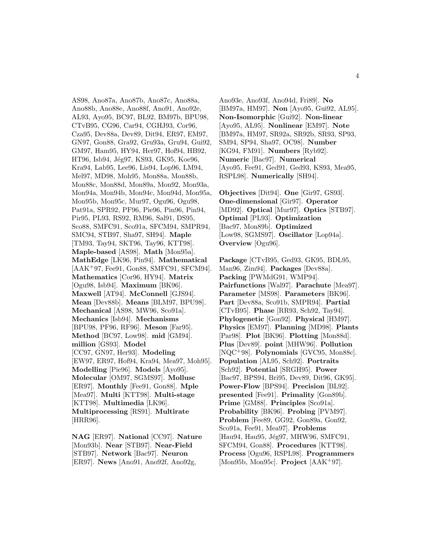AS98, Ano87a, Ano87b, Ano87c, Ano88a, Ano88b, Ano88e, Ano88f, Ano91, Ano92e, AL93, Ayo95, BC97, BL92, BM97b, BPU98, CTvB95, CG96, Car94, CGHJ93, Cor96, Cza95, Dev88a, Dev89, Dit94, ER97, EM97, GN97, Gon88, Gra92, Gru93a, Gru94, Gui92, GM97, Ham95, HY94, Her97, Hof94, HB92, HT96, Isb94, Jég97, KS93, GK95, Koe96, Kra94, Lab95, Lee96, Lis94, Lop96, LM94, Mel97, MD98, Moh95, Mon88a, Mon88b, Mon88c, Mon88d, Mon89a, Mon92, Mon93a, Mon94a, Mon94b, Mon94c, Mon94d, Mon95a, Mon95b, Mon95c, Mur97, Ogu96, Ogu98, Pat91a, SPR92, PF96, Pie96, Pin96, Pin94, Pir95, PL93, RS92, RM96, Sal91, DS95, Sco88, SMFC91, Sco91a, SFCM94, SMPR94, SMC94, STB97, Sha97, SH94]. **Maple** [TM93, Tay94, SKT96, Tay96, KTT98]. **Maple-based** [AS98]. **Math** [Mon95a]. **MathEdge** [LK96, Pin94]. **Mathematical** [AAK<sup>+</sup>97, Fee91, Gon88, SMFC91, SFCM94]. **Mathematics** [Cor96, HY94]. **Matrix** [Ogu98, Isb94]. **Maximum** [BK96]. **Maxwell** [AT94]. **McConnell** [GJS94]. **Mean** [Dev88b]. **Means** [BLM97, BPU98]. **Mechanical** [AS98, MW96, Sco91a]. **Mechanics** [Isb94]. **Mechanisms** [BPU98, PF96, RF96]. **Meson** [Far95]. **Method** [BC97, Low98]. **mid** [GM94]. **million** [GS93]. **Model** [CC97, GN97, Her93]. **Modeling** [EW97, ER97, Hof94, Kra94, Mea97, Moh95]. **Modelling** [Pie96]. **Models** [Ayo95]. **Molecular** [OM97, SGMS97]. **Mollusc** [ER97]. **Monthly** [Fee91, Gon88]. **Mple** [Mea97]. **Multi** [KTT98]. **Multi-stage** [KTT98]. **Multimedia** [LK96]. **Multiprocessing** [RS91]. **Multirate** [HRR96].

**NAG** [ER97]. **National** [CC97]. **Nature** [Mon93b]. **Near** [STB97]. **Near-Field** [STB97]. **Network** [Bac97]. **Neuron** [ER97]. **News** [Ano91, Ano92f, Ano92g,

Ano93e, Ano93f, Ano94d, Fri89]. **No** [BM97a, HM97]. **Non** [Ayo95, Gui92, AL95]. **Non-Isomorphic** [Gui92]. **Non-linear** [Ayo95, AL95]. **Nonlinear** [EM97]. **Note** [BM97a, HM97, SR92a, SR92b, SR93, SP93, SM94, SP94, Sha97, OC98]. **Number** [KG94, FM91]. **Numbers** [Ryb92]. **Numeric** [Bac97]. **Numerical** [Ayo95, Fee91, Ged91, Ged93, KS93, Mea95, RSPL98]. **Numerically** [SH94].

**Objectives** [Dit94]. **One** [Gir97, GS93]. **One-dimensional** [Gir97]. **Operator** [MD92]. **Optical** [Mur97]. **Optics** [STB97]. **Optimal** [PL93]. **Optimization** [Bac97, Mon89b]. **Optimized** [Low98, SGMS97]. **Oscillator** [Lop94a]. **Overview** [Ogu96].

**Package** [CTvB95, Ged93, GK95, BDL95, Man96, Zim94]. **Packages** [Dev88a]. **Packing** [PWMdG91, WMP94]. **Pairfunctions** [Wal97]. **Parachute** [Mea97]. **Parameter** [MS98]. **Parameters** [BK96]. **Part** [Dev88a, Sco91b, SMPR94]. **Partial** [CTvB95]. **Phase** [RR93, Sch92, Tay94]. **Phylogenetic** [Gon92]. **Physical** [HM97]. **Physics** [EM97]. **Planning** [MD98]. **Plants** [Par98]. **Plot** [BK96]. **Plotting** [Mon88d]. **Plus** [Dev89]. **point** [MHW96]. **Pollution** [NQC<sup>+</sup>98]. **Polynomials** [GVC95, Mon88c]. **Population** [AL95, Sch92]. **Portraits** [Sch92]. **Potential** [SRGH95]. **Power** [Bac97, BPS94, Bri95, Dev89, Dit96, GK95]. **Power-Flow** [BPS94]. **Precision** [BL92]. **presented** [Fee91]. **Primality** [Gon89b]. **Prime** [GM88]. **Principles** [Sco91a]. **Probability** [BK96]. **Probing** [PVM97]. **Problem** [Fee89, GG92, Gon89a, Gon92, Sco91a, Fee91, Mea97]. **Problems** [Hau94, Hau95, Jég97, MHW96, SMFC91, SFCM94, Gon88]. **Procedures** [KTT98]. **Process** [Ogu96, RSPL98]. **Programmers** [Mon95b, Mon95c]. **Project** [AAK<sup>+</sup>97].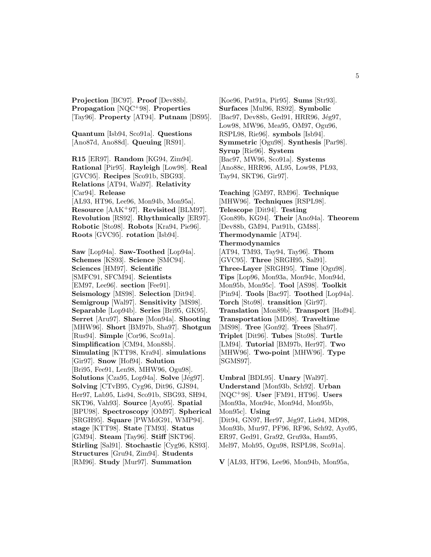**Projection** [BC97]. **Proof** [Dev88b]. **Propagation** [NQC<sup>+</sup>98]. **Properties** [Tay96]. **Property** [AT94]. **Putnam** [DS95].

**Quantum** [Isb94, Sco91a]. **Questions** [Ano87d, Ano88d]. **Queuing** [RS91].

**R15** [ER97]. **Random** [KG94, Zim94]. **Rational** [Pir95]. **Rayleigh** [Low98]. **Real** [GVC95]. **Recipes** [Sco91b, SBG93]. **Relations** [AT94, Wal97]. **Relativity** [Car94]. **Release** [AL93, HT96, Lee96, Mon94b, Mon95a]. **Resource** [AAK<sup>+</sup>97]. **Revisited** [BLM97]. **Revolution** [RS92]. **Rhythmically** [ER97]. **Robotic** [Sto98]. **Robots** [Kra94, Pie96]. **Roots** [GVC95]. **rotation** [Isb94].

**Saw** [Lop94a]. **Saw-Toothed** [Lop94a]. **Schemes** [KS93]. **Science** [SMC94]. **Sciences** [HM97]. **Scientific** [SMFC91, SFCM94]. **Scientists** [EM97, Lee96]. **section** [Fee91]. **Seismology** [MS98]. **Selection** [Dit94]. **Semigroup** [Wal97]. **Sensitivity** [MS98]. **Separable** [Lop94b]. **Series** [Bri95, GK95]. **Serret** [Aru97]. **Share** [Mon94a]. **Shooting** [MHW96]. **Short** [BM97b, Sha97]. **Shotgun** [Rus94]. **Simple** [Cor96, Sco91a]. **Simplification** [CM94, Mon88b]. **Simulating** [KTT98, Kra94]. **simulations** [Gir97]. **Snow** [Hof94]. **Solution** [Bri95, Fee91, Len98, MHW96, Ogu98]. **Solutions** [Cza95, Lop94a]. **Solve** [Jég97]. **Solving** [CTvB95, Cyg96, Dit96, GJS94, Her97, Lab95, Lis94, Sco91b, SBG93, SH94, SKT96, Vah93]. **Source** [Ayo95]. **Spatial** [BPU98]. **Spectroscopy** [OM97]. **Spherical** [SRGH95]. **Square** [PWMdG91, WMP94]. **stage** [KTT98]. **State** [TM93]. **Status** [GM94]. **Steam** [Tay96]. **Stiff** [SKT96]. **Stirling** [Sal91]. **Stochastic** [Cyg96, KS93]. **Structures** [Gru94, Zim94]. **Students** [RM96]. **Study** [Mur97]. **Summation**

[Koe96, Pat91a, Pir95]. **Sums** [Str93]. **Surfaces** [Mul96, RS92]. **Symbolic** [Bac97, Dev88b, Ged91, HRR96, Jég97, Low98, MW96, Mea95, OM97, Ogu96, RSPL98, Rie96]. **symbols** [Isb94]. **Symmetric** [Ogu98]. **Synthesis** [Par98]. **Syrup** [Rie96]. **System** [Bac97, MW96, Sco91a]. **Systems** [Ano88c, HRR96, AL95, Low98, PL93, Tay94, SKT96, Gir97].

**Teaching** [GM97, RM96]. **Technique** [MHW96]. **Techniques** [RSPL98]. **Telescope** [Dit94]. **Testing** [Gon89b, KG94]. **Their** [Ano94a]. **Theorem** [Dev88b, GM94, Pat91b, GM88]. **Thermodynamic** [AT94]. **Thermodynamics** [AT94, TM93, Tay94, Tay96]. **Thom** [GVC95]. **Three** [SRGH95, Sal91]. **Three-Layer** [SRGH95]. **Time** [Ogu98]. **Tips** [Lop96, Mon93a, Mon94c, Mon94d, Mon95b, Mon95c]. **Tool** [AS98]. **Toolkit** [Pin94]. **Tools** [Bac97]. **Toothed** [Lop94a]. **Torch** [Sto98]. **transition** [Gir97]. **Translation** [Mon89b]. **Transport** [Hof94]. **Transportation** [MD98]. **Traveltime** [MS98]. **Tree** [Gon92]. **Trees** [Sha97]. **Triplet** [Dit96]. **Tubes** [Sto98]. **Turtle** [LM94]. **Tutorial** [BM97b, Her97]. **Two** [MHW96]. **Two-point** [MHW96]. **Type** [SGMS97].

**Umbral** [BDL95]. **Unary** [Wal97]. **Understand** [Mon93b, Sch92]. **Urban** [NQC<sup>+</sup>98]. **User** [FM91, HT96]. **Users** [Mon93a, Mon94c, Mon94d, Mon95b, Mon95c]. **Using** [Dit94, GN97, Her97, Jég97, Lis94, MD98, Mon93b, Mur97, PF96, RF96, Sch92, Ayo95, ER97, Ged91, Gra92, Gru93a, Ham95, Mel97, Moh95, Ogu98, RSPL98, Sco91a].

**V** [AL93, HT96, Lee96, Mon94b, Mon95a,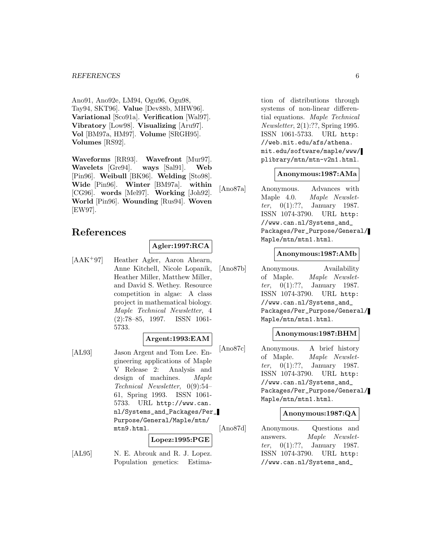Ano91, Ano92e, LM94, Ogu96, Ogu98, Tay94, SKT96]. **Value** [Dev88b, MHW96]. **Variational** [Sco91a]. **Verification** [Wal97]. **Vibratory** [Low98]. **Visualizing** [Aru97]. **Vol** [BM97a, HM97]. **Volume** [SRGH95]. **Volumes** [RS92].

**Waveforms** [RR93]. **Wavefront** [Mur97]. **Wavelets** [Gre94]. **ways** [Sal91]. **Web** [Pin96]. **Weibull** [BK96]. **Welding** [Sto98]. **Wide** [Pin96]. **Winter** [BM97a]. **within** [CG96]. **words** [Mel97]. **Working** [Joh92]. **World** [Pin96]. **Wounding** [Rus94]. **Woven** [EW97].

## **References**

## **Agler:1997:RCA**

[AAK<sup>+</sup>97] Heather Agler, Aaron Ahearn, Anne Kitchell, Nicole Lopanik, Heather Miller, Matthew Miller, and David S. Wethey. Resource competition in algae: A class project in mathematical biology. Maple Technical Newsletter, 4 (2):78–85, 1997. ISSN 1061- 5733.

#### **Argent:1993:EAM**

[AL93] Jason Argent and Tom Lee. Engineering applications of Maple V Release 2: Analysis and design of machines. Maple Technical Newsletter, 0(9):54– 61, Spring 1993. ISSN 1061- 5733. URL http://www.can. nl/Systems\_and\_Packages/Per\_ Purpose/General/Maple/mtn/ mtn9.html.

**Lopez:1995:PGE**

[AL95] N. E. Abrouk and R. J. Lopez. Population genetics: Estima-

tion of distributions through systems of non-linear differential equations. Maple Technical Newsletter, 2(1):??, Spring 1995. ISSN 1061-5733. URL http: //web.mit.edu/afs/athena. mit.edu/software/maple/www/ plibrary/mtn/mtn-v2n1.html.

### **Anonymous:1987:AMa**

[Ano87a] Anonymous. Advances with Maple 4.0. Maple Newsletter, 0(1):??, January 1987. ISSN 1074-3790. URL http: //www.can.nl/Systems\_and\_ Packages/Per\_Purpose/General/ Maple/mtn/mtn1.html.

## **Anonymous:1987:AMb**

[Ano87b] Anonymous. Availability of Maple. Maple Newsletter, 0(1):??, January 1987. ISSN 1074-3790. URL http: //www.can.nl/Systems\_and\_ Packages/Per\_Purpose/General/ Maple/mtn/mtn1.html.

#### **Anonymous:1987:BHM**

[Ano87c] Anonymous. A brief history of Maple. Maple Newslet*ter*,  $0(1)$ :??, January 1987. ISSN 1074-3790. URL http: //www.can.nl/Systems\_and\_ Packages/Per\_Purpose/General/ Maple/mtn/mtn1.html.

#### **Anonymous:1987:QA**

[Ano87d] Anonymous. Questions and answers. Maple Newsletter, 0(1):??, January 1987. ISSN 1074-3790. URL http: //www.can.nl/Systems\_and\_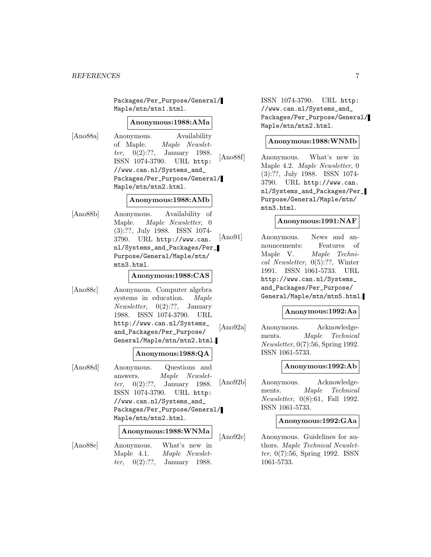Packages/Per\_Purpose/General/ Maple/mtn/mtn1.html.

#### **Anonymous:1988:AMa**

[Ano88a] Anonymous. Availability of Maple. Maple Newsletter, 0(2):??, January 1988. ISSN 1074-3790. URL http: //www.can.nl/Systems\_and\_ Packages/Per\_Purpose/General/ Maple/mtn/mtn2.html.

### **Anonymous:1988:AMb**

[Ano88b] Anonymous. Availability of Maple. Maple Newsletter, 0 (3):??, July 1988. ISSN 1074- 3790. URL http://www.can. nl/Systems\_and\_Packages/Per\_ Purpose/General/Maple/mtn/ mtn3.html.

### **Anonymous:1988:CAS**

[Ano88c] Anonymous. Computer algebra systems in education. Maple Newsletter, 0(2):??, January 1988. ISSN 1074-3790. URL http://www.can.nl/Systems\_ and\_Packages/Per\_Purpose/ General/Maple/mtn/mtn2.html.

#### **Anonymous:1988:QA**

[Ano88d] Anonymous. Questions and answers. Maple Newsletter, 0(2):??, January 1988. ISSN 1074-3790. URL http: //www.can.nl/Systems\_and\_ Packages/Per\_Purpose/General/ Maple/mtn/mtn2.html.

#### **Anonymous:1988:WNMa**

- [Ano88e] Anonymous. What's new in
	- Maple 4.1. Maple Newslet*ter*,  $0(2)$ :??, January 1988.

ISSN 1074-3790. URL http: //www.can.nl/Systems\_and\_ Packages/Per\_Purpose/General/ Maple/mtn/mtn2.html.

### **Anonymous:1988:WNMb**

[Ano88f] Anonymous. What's new in Maple 4.2. Maple Newsletter, 0 (3):??, July 1988. ISSN 1074- 3790. URL http://www.can. nl/Systems\_and\_Packages/Per\_ Purpose/General/Maple/mtn/ mtn3.html.

## **Anonymous:1991:NAF**

[Ano91] Anonymous. News and announcements: Features of Maple V. Maple Technical Newsletter, 0(5):??, Winter 1991. ISSN 1061-5733. URL http://www.can.nl/Systems\_ and\_Packages/Per\_Purpose/ General/Maple/mtn/mtn5.html.

#### **Anonymous:1992:Aa**

[Ano92a] Anonymous. Acknowledgements. Maple Technical Newsletter, 0(7):56, Spring 1992. ISSN 1061-5733.

#### **Anonymous:1992:Ab**

[Ano92b] Anonymous. Acknowledgements. Maple Technical Newsletter, 0(8):61, Fall 1992. ISSN 1061-5733.

#### **Anonymous:1992:GAa**

[Ano92c] Anonymous. Guidelines for authors. Maple Technical Newsletter, 0(7):56, Spring 1992. ISSN 1061-5733.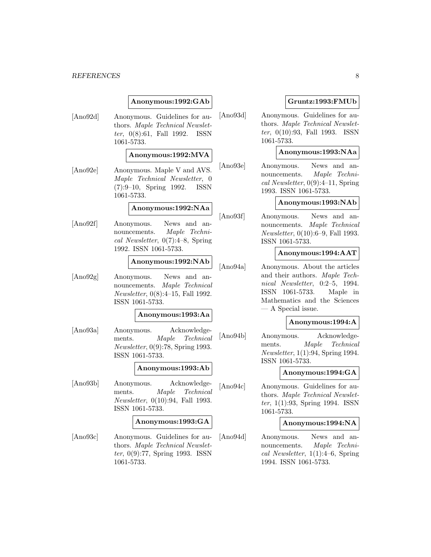#### *REFERENCES* 8

#### **Anonymous:1992:GAb**

[Ano92d] Anonymous. Guidelines for authors. Maple Technical Newsletter, 0(8):61, Fall 1992. ISSN 1061-5733.

#### **Anonymous:1992:MVA**

[Ano92e] Anonymous. Maple V and AVS. Maple Technical Newsletter, 0 (7):9–10, Spring 1992. ISSN 1061-5733.

#### **Anonymous:1992:NAa**

[Ano92f] Anonymous. News and announcements. Maple Technical Newsletter, 0(7):4–8, Spring 1992. ISSN 1061-5733.

#### **Anonymous:1992:NAb**

[Ano92g] Anonymous. News and announcements. Maple Technical Newsletter, 0(8):4–15, Fall 1992. ISSN 1061-5733.

#### **Anonymous:1993:Aa**

[Ano93a] Anonymous. Acknowledgements. Maple Technical Newsletter, 0(9):78, Spring 1993. ISSN 1061-5733.

#### **Anonymous:1993:Ab**

[Ano93b] Anonymous. Acknowledgements. Maple Technical Newsletter, 0(10):94, Fall 1993. ISSN 1061-5733.

#### **Anonymous:1993:GA**

[Ano93c] Anonymous. Guidelines for authors. Maple Technical Newsletter, 0(9):77, Spring 1993. ISSN 1061-5733.

#### **Gruntz:1993:FMUb**

[Ano93d] Anonymous. Guidelines for authors. Maple Technical Newsletter, 0(10):93, Fall 1993. ISSN 1061-5733.

#### **Anonymous:1993:NAa**

[Ano93e] Anonymous. News and announcements. Maple Technical Newsletter,  $0(9):4-11$ , Spring 1993. ISSN 1061-5733.

#### **Anonymous:1993:NAb**

[Ano93f] Anonymous. News and announcements. Maple Technical Newsletter, 0(10):6–9, Fall 1993. ISSN 1061-5733.

#### **Anonymous:1994:AAT**

[Ano94a] Anonymous. About the articles and their authors. Maple Technical Newsletter, 0:2–5, 1994. ISSN 1061-5733. Maple in Mathematics and the Sciences — A Special issue.

### **Anonymous:1994:A**

[Ano94b] Anonymous. Acknowledgements. Maple Technical Newsletter, 1(1):94, Spring 1994. ISSN 1061-5733.

#### **Anonymous:1994:GA**

[Ano94c] Anonymous. Guidelines for authors. Maple Technical Newsletter, 1(1):93, Spring 1994. ISSN 1061-5733.

#### **Anonymous:1994:NA**

[Ano94d] Anonymous. News and announcements. Maple Technical Newsletter,  $1(1):4-6$ , Spring 1994. ISSN 1061-5733.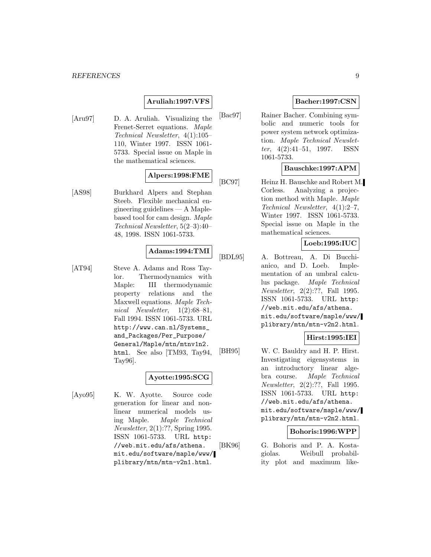#### *REFERENCES* 9

## **Aruliah:1997:VFS**

[Aru97] D. A. Aruliah. Visualizing the Frenet-Serret equations. Maple Technical Newsletter, 4(1):105– 110, Winter 1997. ISSN 1061- 5733. Special issue on Maple in the mathematical sciences.

## **Alpers:1998:FME**

[AS98] Burkhard Alpers and Stephan Steeb. Flexible mechanical engineering guidelines — A Maplebased tool for cam design. Maple Technical Newsletter, 5(2–3):40– 48, 1998. ISSN 1061-5733.

## **Adams:1994:TMI**

[AT94] Steve A. Adams and Ross Taylor. Thermodynamics with Maple: III thermodynamic property relations and the Maxwell equations. Maple Technical Newsletter, 1(2):68–81, Fall 1994. ISSN 1061-5733. URL http://www.can.nl/Systems\_ and\_Packages/Per\_Purpose/ General/Maple/mtn/mtnv1n2. html. See also [TM93, Tay94, Tay96].

## **Ayotte:1995:SCG**

[Ayo95] K. W. Ayotte. Source code generation for linear and nonlinear numerical models using Maple. Maple Technical Newsletter, 2(1):??, Spring 1995. ISSN 1061-5733. URL http: //web.mit.edu/afs/athena. mit.edu/software/maple/www/ plibrary/mtn/mtn-v2n1.html.

### **Bacher:1997:CSN**

[Bac97] Rainer Bacher. Combining symbolic and numeric tools for power system network optimization. Maple Technical Newsletter,  $4(2):41-51$ , 1997. ISSN 1061-5733.

### **Bauschke:1997:APM**

[BC97] Heinz H. Bauschke and Robert M. Corless. Analyzing a projection method with Maple. Maple Technical Newsletter, 4(1):2–7, Winter 1997. ISSN 1061-5733. Special issue on Maple in the mathematical sciences.

## **Loeb:1995:IUC**

[BDL95] A. Bottreau, A. Di Bucchianico, and D. Loeb. Implementation of an umbral calculus package. Maple Technical Newsletter, 2(2):??, Fall 1995. ISSN 1061-5733. URL http: //web.mit.edu/afs/athena. mit.edu/software/maple/www/ plibrary/mtn/mtn-v2n2.html.

## **Hirst:1995:IEI**

[BH95] W. C. Bauldry and H. P. Hirst. Investigating eigensystems in an introductory linear algebra course. Maple Technical Newsletter, 2(2):??, Fall 1995. ISSN 1061-5733. URL http: //web.mit.edu/afs/athena. mit.edu/software/maple/www/ plibrary/mtn/mtn-v2n2.html.

### **Bohoris:1996:WPP**

[BK96] G. Bohoris and P. A. Kostagiolas. Weibull probability plot and maximum like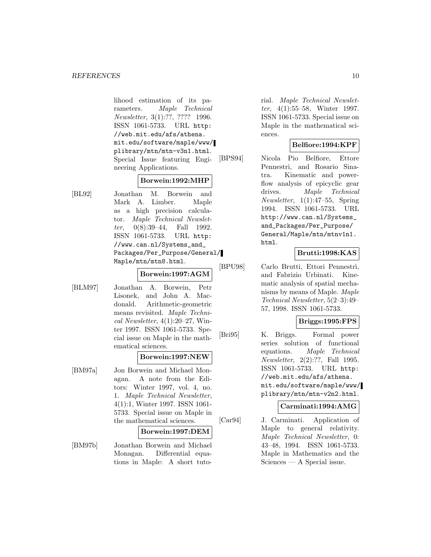lihood estimation of its parameters. Maple Technical Newsletter, 3(1):??, ???? 1996. ISSN 1061-5733. URL http: //web.mit.edu/afs/athena. mit.edu/software/maple/www/ plibrary/mtn/mtn-v3n1.html. Special Issue featuring Engineering Applications.

#### **Borwein:1992:MHP**

[BL92] Jonathan M. Borwein and Mark A. Limber. Maple as a high precision calculator. Maple Technical Newsletter,  $0(8):39-44$ , Fall 1992. ISSN 1061-5733. URL http: //www.can.nl/Systems\_and\_ Packages/Per\_Purpose/General/ Maple/mtn/mtn8.html.

**Borwein:1997:AGM**

[BLM97] Jonathan A. Borwein, Petr Lisonek, and John A. Macdonald. Arithmetic-geometric means revisited. Maple Technical Newsletter,  $4(1):20-27$ , Winter 1997. ISSN 1061-5733. Special issue on Maple in the mathematical sciences.

#### **Borwein:1997:NEW**

[BM97a] Jon Borwein and Michael Monagan. A note from the Editors: Winter 1997, vol. 4, no. 1. Maple Technical Newsletter, 4(1):1, Winter 1997. ISSN 1061- 5733. Special issue on Maple in the mathematical sciences.

#### **Borwein:1997:DEM**

[BM97b] Jonathan Borwein and Michael Monagan. Differential equations in Maple: A short tutorial. Maple Technical Newsletter, 4(1):55–58, Winter 1997. ISSN 1061-5733. Special issue on Maple in the mathematical sciences.

#### **Belfiore:1994:KPF**

[BPS94] Nicola Pio Belfiore, Ettore Pennestri, and Rosario Sinatra. Kinematic and powerflow analysis of epicyclic gear drives. Maple Technical  $Newsletter, 1(1):47–55, Spring$ 1994. ISSN 1061-5733. URL http://www.can.nl/Systems\_ and\_Packages/Per\_Purpose/ General/Maple/mtn/mtnv1n1. html.

#### **Brutti:1998:KAS**

[BPU98] Carlo Brutti, Ettori Pennestri, and Fabrizio Urbinati. Kinematic analysis of spatial mechanisms by means of Maple. Maple Technical Newsletter, 5(2–3):49– 57, 1998. ISSN 1061-5733.

#### **Briggs:1995:FPS**

[Bri95] K. Briggs. Formal power series solution of functional equations. Maple Technical Newsletter, 2(2):??, Fall 1995. ISSN 1061-5733. URL http: //web.mit.edu/afs/athena. mit.edu/software/maple/www/ plibrary/mtn/mtn-v2n2.html.

### **Carminati:1994:AMG**

[Car94] J. Carminati. Application of Maple to general relativity. Maple Technical Newsletter, 0: 43–48, 1994. ISSN 1061-5733. Maple in Mathematics and the Sciences — A Special issue.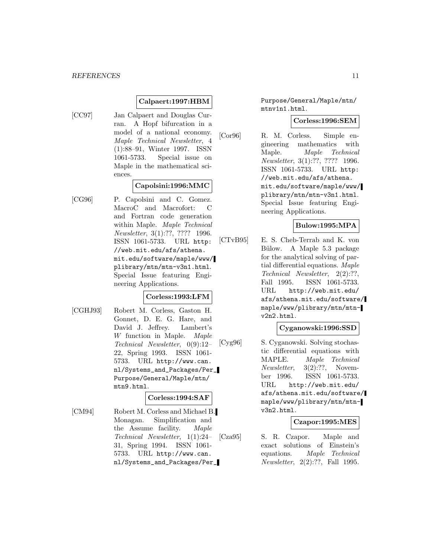### **Calpaert:1997:HBM**

[CC97] Jan Calpaert and Douglas Curran. A Hopf bifurcation in a model of a national economy. Maple Technical Newsletter, 4 (1):88–91, Winter 1997. ISSN 1061-5733. Special issue on Maple in the mathematical sciences.

### **Capolsini:1996:MMC**

[CG96] P. Capolsini and C. Gomez. MacroC and Macrofort: C and Fortran code generation within Maple. Maple Technical Newsletter, 3(1):??, ???? 1996. ISSN 1061-5733. URL http: //web.mit.edu/afs/athena. mit.edu/software/maple/www/ plibrary/mtn/mtn-v3n1.html. Special Issue featuring Engineering Applications.

#### **Corless:1993:LFM**

[CGHJ93] Robert M. Corless, Gaston H. Gonnet, D. E. G. Hare, and David J. Jeffrey. Lambert's W function in Maple. Maple Technical Newsletter, 0(9):12– 22, Spring 1993. ISSN 1061- 5733. URL http://www.can. nl/Systems\_and\_Packages/Per\_ Purpose/General/Maple/mtn/ mtn9.html.

#### **Corless:1994:SAF**

[CM94] Robert M. Corless and Michael B. Monagan. Simplification and the Assume facility. Maple Technical Newsletter, 1(1):24– 31, Spring 1994. ISSN 1061- 5733. URL http://www.can. nl/Systems\_and\_Packages/Per\_ Purpose/General/Maple/mtn/ mtnv1n1.html.

#### **Corless:1996:SEM**

[Cor96] R. M. Corless. Simple engineering mathematics with Maple. Maple Technical Newsletter, 3(1):??, ???? 1996. ISSN 1061-5733. URL http: //web.mit.edu/afs/athena. mit.edu/software/maple/www/ plibrary/mtn/mtn-v3n1.html. Special Issue featuring Engineering Applications.

### **Bulow:1995:MPA**

[CTvB95] E. S. Cheb-Terrab and K. von Bülow. A Maple 5.3 package for the analytical solving of partial differential equations. Maple Technical Newsletter, 2(2):??, Fall 1995. ISSN 1061-5733. URL http://web.mit.edu/ afs/athena.mit.edu/software/ maple/www/plibrary/mtn/mtnv2n2.html.

#### **Cyganowski:1996:SSD**

[Cyg96] S. Cyganowski. Solving stochastic differential equations with MAPLE. Maple Technical Newsletter, 3(2):??, November 1996. ISSN 1061-5733. URL http://web.mit.edu/ afs/athena.mit.edu/software/ maple/www/plibrary/mtn/mtnv3n2.html.

## **Czapor:1995:MES**

[Cza95] S. R. Czapor. Maple and exact solutions of Einstein's equations. Maple Technical Newsletter, 2(2):??, Fall 1995.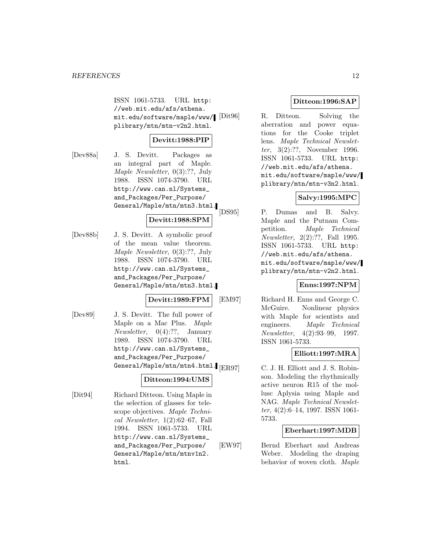ISSN 1061-5733. URL http: //web.mit.edu/afs/athena. mit.edu/software/maple/www/ plibrary/mtn/mtn-v2n2.html.

### **Devitt:1988:PIP**

[Dev88a] J. S. Devitt. Packages as an integral part of Maple. Maple Newsletter, 0(3):??, July 1988. ISSN 1074-3790. URL http://www.can.nl/Systems\_ and\_Packages/Per\_Purpose/ General/Maple/mtn/mtn3.html.

**Devitt:1988:SPM**

[Dev88b] J. S. Devitt. A symbolic proof of the mean value theorem. Maple Newsletter, 0(3):??, July 1988. ISSN 1074-3790. URL http://www.can.nl/Systems\_ and\_Packages/Per\_Purpose/ General/Maple/mtn/mtn3.html.

#### **Devitt:1989:FPM**

[Dev89] J. S. Devitt. The full power of Maple on a Mac Plus. Maple Newsletter, 0(4):??, January 1989. ISSN 1074-3790. URL http://www.can.nl/Systems\_ and\_Packages/Per\_Purpose/ General/Maple/mtn/mtn4.html. [ER97]

#### **Ditteon:1994:UMS**

[Dit94] Richard Ditteon. Using Maple in the selection of glasses for telescope objectives. Maple Technical Newsletter, 1(2):62–67, Fall 1994. ISSN 1061-5733. URL http://www.can.nl/Systems\_ and\_Packages/Per\_Purpose/ General/Maple/mtn/mtnv1n2. html.

#### **Ditteon:1996:SAP**

R. Ditteon. Solving the aberration and power equations for the Cooke triplet lens. Maple Technical Newsletter, 3(2):??, November 1996. ISSN 1061-5733. URL http: //web.mit.edu/afs/athena. mit.edu/software/maple/www/ plibrary/mtn/mtn-v3n2.html.

## **Salvy:1995:MPC**

[DS95] P. Dumas and B. Salvy. Maple and the Putnam Competition. Maple Technical Newsletter, 2(2):??, Fall 1995. ISSN 1061-5733. URL http: //web.mit.edu/afs/athena. mit.edu/software/maple/www/ plibrary/mtn/mtn-v2n2.html.

#### **Enns:1997:NPM**

[EM97] Richard H. Enns and George C. McGuire. Nonlinear physics with Maple for scientists and engineers. Maple Technical Newsletter, 4(2):93–99, 1997. ISSN 1061-5733.

## **Elliott:1997:MRA**

C. J. H. Elliott and J. S. Robinson. Modeling the rhythmically active neuron R15 of the mollusc Aplysia using Maple and NAG. Maple Technical Newsletter, 4(2):6–14, 1997. ISSN 1061- 5733.

#### **Eberhart:1997:MDB**

[EW97] Bernd Eberhart and Andreas Weber. Modeling the draping behavior of woven cloth. Maple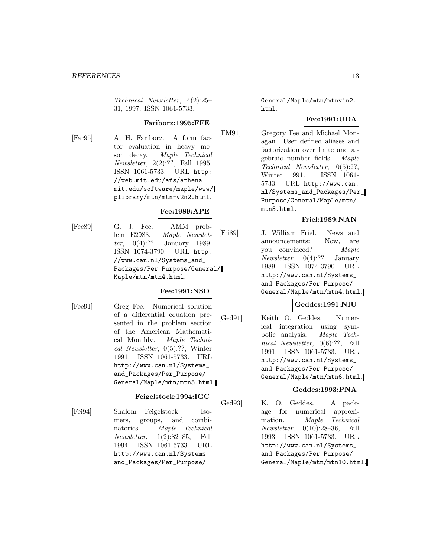Technical Newsletter, 4(2):25– 31, 1997. ISSN 1061-5733.

#### **Fariborz:1995:FFE**

[Far95] A. H. Fariborz. A form factor evaluation in heavy meson decay. Maple Technical Newsletter, 2(2):??, Fall 1995. ISSN 1061-5733. URL http: //web.mit.edu/afs/athena. mit.edu/software/maple/www/ plibrary/mtn/mtn-v2n2.html.

## **Fee:1989:APE**

[Fee89] G. J. Fee. AMM problem E2983. Maple Newsletter, 0(4):??, January 1989. ISSN 1074-3790. URL http: //www.can.nl/Systems\_and\_ Packages/Per\_Purpose/General/ Maple/mtn/mtn4.html.

## **Fee:1991:NSD**

[Fee91] Greg Fee. Numerical solution of a differential equation presented in the problem section of the American Mathematical Monthly. Maple Technical Newsletter, 0(5):??, Winter 1991. ISSN 1061-5733. URL http://www.can.nl/Systems\_ and\_Packages/Per\_Purpose/ General/Maple/mtn/mtn5.html.

#### **Feigelstock:1994:IGC**

[Fei94] Shalom Feigelstock. Isomers, groups, and combinatorics. Maple Technical Newsletter, 1(2):82–85, Fall 1994. ISSN 1061-5733. URL http://www.can.nl/Systems\_ and\_Packages/Per\_Purpose/

General/Maple/mtn/mtnv1n2. html.

## **Fee:1991:UDA**

[FM91] Gregory Fee and Michael Monagan. User defined aliases and factorization over finite and algebraic number fields. Maple Technical Newsletter, 0(5):??, Winter 1991. ISSN 1061- 5733. URL http://www.can. nl/Systems\_and\_Packages/Per\_ Purpose/General/Maple/mtn/ mtn5.html.

## **Friel:1989:NAN**

[Fri89] J. William Friel. News and announcements: Now, are you convinced? Maple Newsletter, 0(4):??, January 1989. ISSN 1074-3790. URL http://www.can.nl/Systems\_ and\_Packages/Per\_Purpose/ General/Maple/mtn/mtn4.html.

## **Geddes:1991:NIU**

[Ged91] Keith O. Geddes. Numerical integration using symbolic analysis. Maple Technical Newsletter, 0(6):??, Fall 1991. ISSN 1061-5733. URL http://www.can.nl/Systems\_ and\_Packages/Per\_Purpose/ General/Maple/mtn/mtn6.html.

## **Geddes:1993:PNA**

[Ged93] K. O. Geddes. A package for numerical approximation. Maple Technical Newsletter, 0(10):28–36, Fall 1993. ISSN 1061-5733. URL http://www.can.nl/Systems\_ and\_Packages/Per\_Purpose/ General/Maple/mtn/mtn10.html.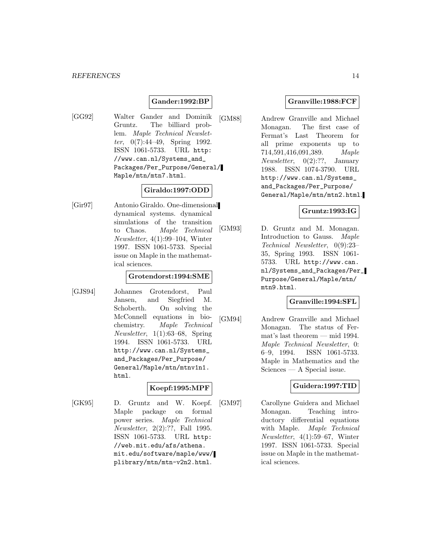## **Gander:1992:BP**

[GG92] Walter Gander and Dominik Gruntz. The billiard problem. Maple Technical Newsletter, 0(7):44–49, Spring 1992. ISSN 1061-5733. URL http: //www.can.nl/Systems\_and\_ Packages/Per\_Purpose/General/ Maple/mtn/mtn7.html.

#### **Giraldo:1997:ODD**

[Gir97] Antonio Giraldo. One-dimensional dynamical systems. dynamical simulations of the transition to Chaos. Maple Technical Newsletter, 4(1):99–104, Winter 1997. ISSN 1061-5733. Special issue on Maple in the mathematical sciences.

## **Grotendorst:1994:SME**

[GJS94] Johannes Grotendorst, Paul Jansen, and Siegfried M. Schoberth. On solving the McConnell equations in biochemistry. Maple Technical Newsletter, 1(1):63–68, Spring 1994. ISSN 1061-5733. URL http://www.can.nl/Systems\_ and\_Packages/Per\_Purpose/ General/Maple/mtn/mtnv1n1. html.

## **Koepf:1995:MPF**

[GK95] D. Gruntz and W. Koepf. Maple package on formal power series. Maple Technical Newsletter, 2(2):??, Fall 1995. ISSN 1061-5733. URL http: //web.mit.edu/afs/athena. mit.edu/software/maple/www/ plibrary/mtn/mtn-v2n2.html.

#### **Granville:1988:FCF**

[GM88] Andrew Granville and Michael Monagan. The first case of Fermat's Last Theorem for all prime exponents up to 714,591,416,091,389. Maple Newsletter, 0(2):??, January 1988. ISSN 1074-3790. URL http://www.can.nl/Systems\_ and\_Packages/Per\_Purpose/ General/Maple/mtn/mtn2.html.

#### **Gruntz:1993:IG**

[GM93] D. Gruntz and M. Monagan. Introduction to Gauss. Maple Technical Newsletter, 0(9):23– 35, Spring 1993. ISSN 1061- 5733. URL http://www.can. nl/Systems\_and\_Packages/Per\_ Purpose/General/Maple/mtn/ mtn9.html.

#### **Granville:1994:SFL**

[GM94] Andrew Granville and Michael Monagan. The status of Fermat's last theorem — mid 1994. Maple Technical Newsletter, 0: 6–9, 1994. ISSN 1061-5733. Maple in Mathematics and the Sciences — A Special issue.

#### **Guidera:1997:TID**

[GM97] Carollyne Guidera and Michael Monagan. Teaching introductory differential equations with Maple. Maple Technical Newsletter, 4(1):59–67, Winter 1997. ISSN 1061-5733. Special issue on Maple in the mathematical sciences.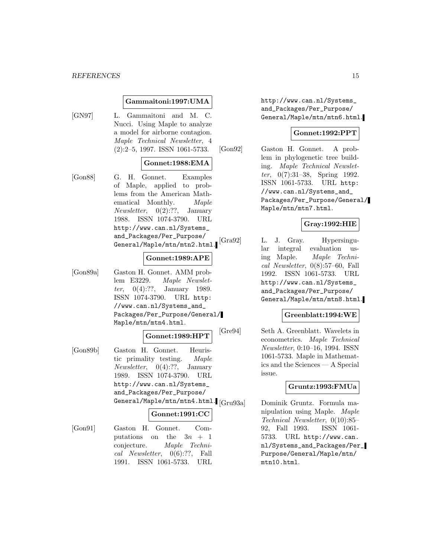#### **Gammaitoni:1997:UMA**

[GN97] L. Gammaitoni and M. C. Nucci. Using Maple to analyze a model for airborne contagion. Maple Technical Newsletter, 4 (2):2–5, 1997. ISSN 1061-5733.

#### **Gonnet:1988:EMA**

[Gon88] G. H. Gonnet. Examples of Maple, applied to problems from the American Mathematical Monthly. Maple *Newsletter*,  $0(2):??$ , January 1988. ISSN 1074-3790. URL http://www.can.nl/Systems\_ and\_Packages/Per\_Purpose/ General/Maple/mtn/mtn2.html.

#### **Gonnet:1989:APE**

[Gon89a] Gaston H. Gonnet. AMM problem E3229. Maple Newsletter, 0(4):??, January 1989. ISSN 1074-3790. URL http: //www.can.nl/Systems\_and\_ Packages/Per\_Purpose/General/ Maple/mtn/mtn4.html.

#### **Gonnet:1989:HPT**

[Gon89b] Gaston H. Gonnet. Heuristic primality testing. Maple Newsletter, 0(4):??, January 1989. ISSN 1074-3790. URL http://www.can.nl/Systems\_ and\_Packages/Per\_Purpose/ General/Maple/mtn/mtn4.html. [Gru93a]

#### **Gonnet:1991:CC**

[Gon91] Gaston H. Gonnet. Computations on the  $3n + 1$ conjecture. Maple Technical Newsletter, 0(6):??, Fall 1991. ISSN 1061-5733. URL

http://www.can.nl/Systems\_ and\_Packages/Per\_Purpose/ General/Maple/mtn/mtn6.html.

#### **Gonnet:1992:PPT**

[Gon92] Gaston H. Gonnet. A problem in phylogenetic tree building. Maple Technical Newsletter, 0(7):31–38, Spring 1992. ISSN 1061-5733. URL http: //www.can.nl/Systems\_and\_ Packages/Per\_Purpose/General/ Maple/mtn/mtn7.html.

## **Gray:1992:HIE**

[Gra92] L. J. Gray. Hypersingular integral evaluation using Maple. Maple Technical Newsletter, 0(8):57–60, Fall 1992. ISSN 1061-5733. URL http://www.can.nl/Systems\_ and\_Packages/Per\_Purpose/ General/Maple/mtn/mtn8.html.

#### **Greenblatt:1994:WE**

[Gre94] Seth A. Greenblatt. Wavelets in econometrics. Maple Technical Newsletter, 0:10–16, 1994. ISSN 1061-5733. Maple in Mathematics and the Sciences — A Special issue.

## **Gruntz:1993:FMUa**

Dominik Gruntz. Formula manipulation using Maple. Maple Technical Newsletter, 0(10):85– 92, Fall 1993. ISSN 1061- 5733. URL http://www.can. nl/Systems\_and\_Packages/Per\_ Purpose/General/Maple/mtn/ mtn10.html.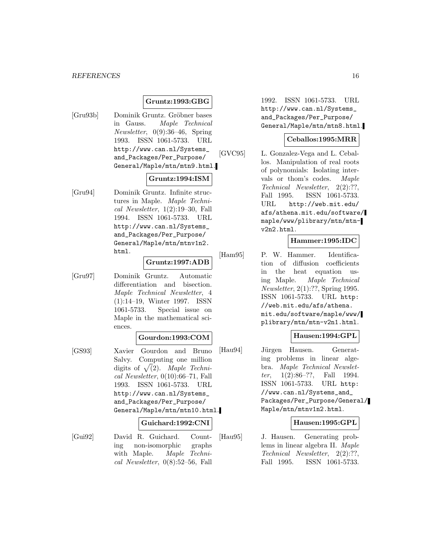#### *REFERENCES* 16

#### **Gruntz:1993:GBG**

[Gru93b] Dominik Gruntz. Gröbner bases in Gauss. Maple Technical Newsletter, 0(9):36–46, Spring 1993. ISSN 1061-5733. URL http://www.can.nl/Systems\_ and\_Packages/Per\_Purpose/ General/Maple/mtn/mtn9.html.

#### **Gruntz:1994:ISM**

[Gru94] Dominik Gruntz. Infinite structures in Maple. Maple Technical Newsletter, 1(2):19–30, Fall 1994. ISSN 1061-5733. URL http://www.can.nl/Systems\_ and\_Packages/Per\_Purpose/ General/Maple/mtn/mtnv1n2. html.

### **Gruntz:1997:ADB**

[Gru97] Dominik Gruntz. Automatic differentiation and bisection. Maple Technical Newsletter, 4 (1):14–19, Winter 1997. ISSN 1061-5733. Special issue on Maple in the mathematical sciences.

#### **Gourdon:1993:COM**

[GS93] Xavier Gourdon and Bruno Salvy. Computing one million digits of  $\sqrt{(2)}$ . Maple Technical Newsletter, 0(10):66–71, Fall 1993. ISSN 1061-5733. URL http://www.can.nl/Systems\_ and\_Packages/Per\_Purpose/ General/Maple/mtn/mtn10.html.

#### **Guichard:1992:CNI**

[Gui92] David R. Guichard. Counting non-isomorphic graphs with Maple. Maple Technical Newsletter, 0(8):52–56, Fall

1992. ISSN 1061-5733. URL http://www.can.nl/Systems\_ and\_Packages/Per\_Purpose/ General/Maple/mtn/mtn8.html.

#### **Ceballos:1995:MRR**

[GVC95] L. Gonzalez-Vega and L. Ceballos. Manipulation of real roots of polynomials: Isolating intervals or thom's codes. Maple Technical Newsletter, 2(2):??, Fall 1995. ISSN 1061-5733. URL http://web.mit.edu/ afs/athena.mit.edu/software/ maple/www/plibrary/mtn/mtnv2n2.html.

#### **Hammer:1995:IDC**

[Ham95] P. W. Hammer. Identification of diffusion coefficients in the heat equation using Maple. Maple Technical Newsletter, 2(1):??, Spring 1995. ISSN 1061-5733. URL http: //web.mit.edu/afs/athena. mit.edu/software/maple/www/ plibrary/mtn/mtn-v2n1.html.

#### **Hausen:1994:GPL**

[Hau94] Jürgen Hausen. Generating problems in linear algebra. Maple Technical Newsletter, 1(2):86–??, Fall 1994. ISSN 1061-5733. URL http: //www.can.nl/Systems\_and\_ Packages/Per\_Purpose/General/ Maple/mtn/mtnv1n2.html.

#### **Hausen:1995:GPL**

[Hau95] J. Hausen. Generating problems in linear algebra II. Maple Technical Newsletter, 2(2):??, Fall 1995. ISSN 1061-5733.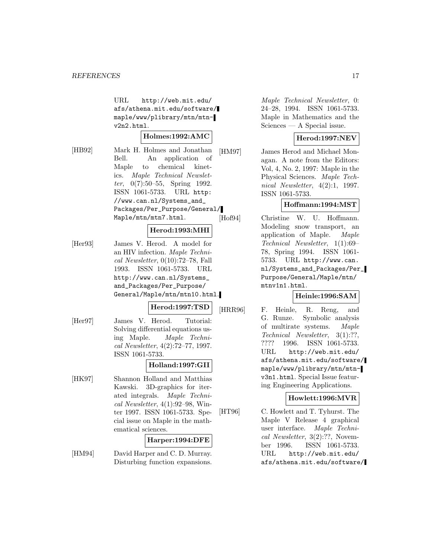URL http://web.mit.edu/ afs/athena.mit.edu/software/ maple/www/plibrary/mtn/mtnv2n2.html.

#### **Holmes:1992:AMC**

[HB92] Mark H. Holmes and Jonathan Bell. An application of Maple to chemical kinetics. Maple Technical Newsletter,  $0(7):50-55$ , Spring 1992. ISSN 1061-5733. URL http: //www.can.nl/Systems\_and\_ Packages/Per\_Purpose/General/ Maple/mtn/mtn7.html.

#### **Herod:1993:MHI**

[Her93] James V. Herod. A model for an HIV infection. Maple Technical Newsletter, 0(10):72–78, Fall 1993. ISSN 1061-5733. URL http://www.can.nl/Systems\_ and\_Packages/Per\_Purpose/ General/Maple/mtn/mtn10.html.

#### **Herod:1997:TSD**

- [Her97] James V. Herod. Tutorial:
	- Solving differential equations using Maple. Maple Technical Newsletter, 4(2):72–77, 1997. ISSN 1061-5733.

## **Holland:1997:GII**

[HK97] Shannon Holland and Matthias Kawski. 3D-graphics for iterated integrals. Maple Technical Newsletter, 4(1):92–98, Winter 1997. ISSN 1061-5733. Special issue on Maple in the mathematical sciences.

### **Harper:1994:DFE**

[HM94] David Harper and C. D. Murray. Disturbing function expansions.

Maple Technical Newsletter, 0: 24–28, 1994. ISSN 1061-5733. Maple in Mathematics and the Sciences — A Special issue.

## **Herod:1997:NEV**

[HM97] James Herod and Michael Monagan. A note from the Editors: Vol, 4, No. 2, 1997: Maple in the Physical Sciences. Maple Technical Newsletter, 4(2):1, 1997. ISSN 1061-5733.

### **Hoffmann:1994:MST**

[Hof94] Christine W. U. Hoffmann. Modeling snow transport, an application of Maple. Maple Technical Newsletter, 1(1):69– 78, Spring 1994. ISSN 1061- 5733. URL http://www.can. nl/Systems\_and\_Packages/Per\_ Purpose/General/Maple/mtn/ mtnv1n1.html.

#### **Heinle:1996:SAM**

[HRR96] F. Heinle, R. Reng, and G. Runze. Symbolic analysis of multirate systems. Maple Technical Newsletter, 3(1):??, ???? 1996. ISSN 1061-5733. URL http://web.mit.edu/ afs/athena.mit.edu/software/ maple/www/plibrary/mtn/mtnv3n1.html. Special Issue featuring Engineering Applications.

#### **Howlett:1996:MVR**

[HT96] C. Howlett and T. Tyhurst. The Maple V Release 4 graphical user interface. Maple Technical Newsletter, 3(2):??, November 1996. ISSN 1061-5733. URL http://web.mit.edu/ afs/athena.mit.edu/software/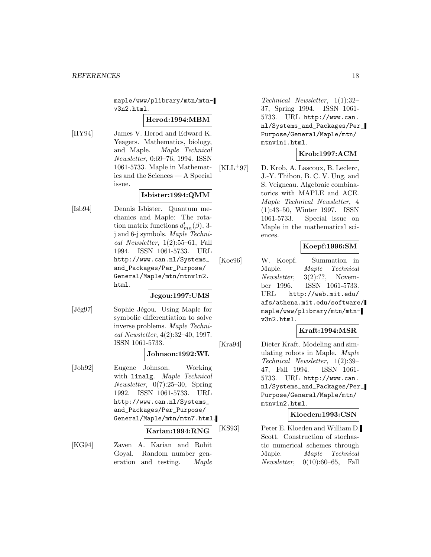maple/www/plibrary/mtn/mtnv3n2.html.

#### **Herod:1994:MBM**

[HY94] James V. Herod and Edward K. Yeagers. Mathematics, biology, and Maple. Maple Technical Newsletter, 0:69–76, 1994. ISSN 1061-5733. Maple in Mathematics and the Sciences — A Special issue.

#### **Isbister:1994:QMM**

[Isb94] Dennis Isbister. Quantum mechanics and Maple: The rotation matrix functions  $d_{mn}^l(\beta)$ , 3j and 6-j symbols. Maple Technical Newsletter, 1(2):55–61, Fall 1994. ISSN 1061-5733. URL http://www.can.nl/Systems\_ and\_Packages/Per\_Purpose/ General/Maple/mtn/mtnv1n2. html.

## **Jegou:1997:UMS**

[Jég97] Sophie Jégou. Using Maple for symbolic differentiation to solve inverse problems. Maple Technical Newsletter, 4(2):32–40, 1997. ISSN 1061-5733.

#### **Johnson:1992:WL**

[Joh92] Eugene Johnson. Working with linalg. Maple Technical Newsletter, 0(7):25–30, Spring 1992. ISSN 1061-5733. URL http://www.can.nl/Systems\_ and\_Packages/Per\_Purpose/ General/Maple/mtn/mtn7.html.

#### **Karian:1994:RNG**

[KG94] Zaven A. Karian and Rohit Goyal. Random number generation and testing. Maple

Technical Newsletter, 1(1):32– 37, Spring 1994. ISSN 1061- 5733. URL http://www.can. nl/Systems\_and\_Packages/Per\_ Purpose/General/Maple/mtn/ mtnv1n1.html.

### **Krob:1997:ACM**

 $[KLL+97]$  D. Krob, A. Lascoux, B. Leclerc, J.-Y. Thibon, B. C. V. Ung, and S. Veigneau. Algebraic combinatorics with MAPLE and ACE. Maple Technical Newsletter, 4 (1):43–50, Winter 1997. ISSN 1061-5733. Special issue on Maple in the mathematical sciences.

## **Koepf:1996:SM**

[Koe96] W. Koepf. Summation in Maple. Maple Technical Newsletter, 3(2):??, November 1996. ISSN 1061-5733. URL http://web.mit.edu/ afs/athena.mit.edu/software/ maple/www/plibrary/mtn/mtnv3n2.html.

#### **Kraft:1994:MSR**

[Kra94] Dieter Kraft. Modeling and simulating robots in Maple. Maple Technical Newsletter, 1(2):39– 47, Fall 1994. ISSN 1061- 5733. URL http://www.can. nl/Systems\_and\_Packages/Per\_ Purpose/General/Maple/mtn/ mtnv1n2.html.

## **Kloeden:1993:CSN**

[KS93] Peter E. Kloeden and William D. Scott. Construction of stochastic numerical schemes through Maple. Maple Technical Newsletter, 0(10):60–65, Fall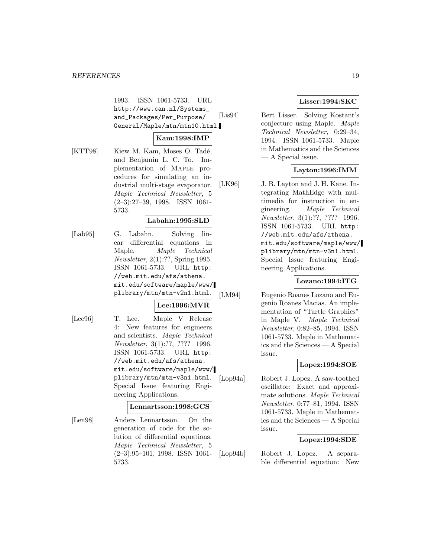1993. ISSN 1061-5733. URL http://www.can.nl/Systems\_ and\_Packages/Per\_Purpose/ General/Maple/mtn/mtn10.html.

#### **Kam:1998:IMP**

[KTT98] Kiew M. Kam, Moses O. Tadé, and Benjamin L. C. To. Implementation of Maple procedures for simulating an industrial multi-stage evaporator. Maple Technical Newsletter, 5 (2–3):27–39, 1998. ISSN 1061- 5733.

### **Labahn:1995:SLD**

[Lab95] G. Labahn. Solving linear differential equations in Maple. Maple Technical Newsletter, 2(1):??, Spring 1995. ISSN 1061-5733. URL http: //web.mit.edu/afs/athena. mit.edu/software/maple/www/ plibrary/mtn/mtn-v2n1.html.

## **Lee:1996:MVR**

[Lee96] T. Lee. Maple V Release 4: New features for engineers and scientists. Maple Technical Newsletter, 3(1):??, ???? 1996. ISSN 1061-5733. URL http: //web.mit.edu/afs/athena. mit.edu/software/maple/www/ plibrary/mtn/mtn-v3n1.html. Special Issue featuring Engineering Applications.

## **Lennartsson:1998:GCS**

[Len98] Anders Lennartsson. On the generation of code for the solution of differential equations. Maple Technical Newsletter, 5 (2–3):95–101, 1998. ISSN 1061- 5733.

## **Lisser:1994:SKC**

[Lis94] Bert Lisser. Solving Kostant's conjecture using Maple. Maple Technical Newsletter, 0:29–34, 1994. ISSN 1061-5733. Maple in Mathematics and the Sciences — A Special issue.

## **Layton:1996:IMM**

[LK96] J. B. Layton and J. H. Kane. Integrating MathEdge with multimedia for instruction in engineering. Maple Technical Newsletter, 3(1):??, ???? 1996. ISSN 1061-5733. URL http: //web.mit.edu/afs/athena. mit.edu/software/maple/www/ plibrary/mtn/mtn-v3n1.html. Special Issue featuring Engineering Applications.

## **Lozano:1994:ITG**

[LM94] Eugenio Roanes Lozano and Eugenio Roanes Macias. An implementation of "Turtle Graphics" in Maple V. Maple Technical Newsletter, 0:82–85, 1994. ISSN 1061-5733. Maple in Mathematics and the Sciences — A Special issue.

#### **Lopez:1994:SOE**

[Lop94a] Robert J. Lopez. A saw-toothed oscillator: Exact and approximate solutions. Maple Technical Newsletter, 0:77–81, 1994. ISSN 1061-5733. Maple in Mathematics and the Sciences — A Special issue.

#### **Lopez:1994:SDE**

[Lop94b] Robert J. Lopez. A separable differential equation: New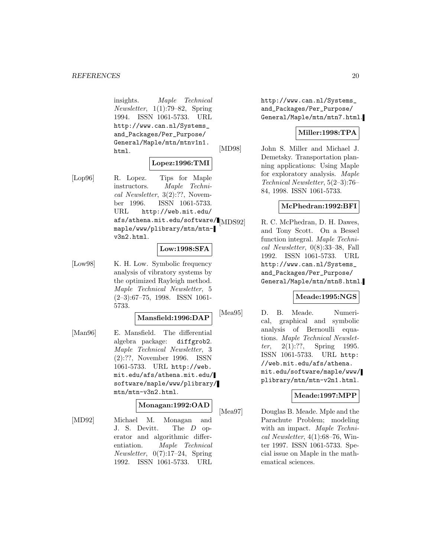insights. Maple Technical Newsletter, 1(1):79–82, Spring 1994. ISSN 1061-5733. URL http://www.can.nl/Systems\_ and\_Packages/Per\_Purpose/ General/Maple/mtn/mtnv1n1. html.

### **Lopez:1996:TMI**

[Lop96] R. Lopez. Tips for Maple instructors. Maple Technical Newsletter, 3(2):??, November 1996. ISSN 1061-5733. URL http://web.mit.edu/ afs/athena.mit.edu/software/ $\blacksquare_{\rm [MDS92]}$ maple/www/plibrary/mtn/mtnv3n2.html.

#### **Low:1998:SFA**

[Low98] K. H. Low. Symbolic frequency analysis of vibratory systems by the optimized Rayleigh method. Maple Technical Newsletter, 5 (2–3):67–75, 1998. ISSN 1061- 5733.

#### **Mansfield:1996:DAP**

[Man96] E. Mansfield. The differential algebra package: diffgrob2. Maple Technical Newsletter, 3 (2):??, November 1996. ISSN 1061-5733. URL http://web. mit.edu/afs/athena.mit.edu/ software/maple/www/plibrary/ mtn/mtn-v3n2.html.

### **Monagan:1992:OAD**

[MD92] Michael M. Monagan and J. S. Devitt. The D operator and algorithmic differentiation. Maple Technical Newsletter, 0(7):17–24, Spring 1992. ISSN 1061-5733. URL

http://www.can.nl/Systems\_ and\_Packages/Per\_Purpose/ General/Maple/mtn/mtn7.html.

#### **Miller:1998:TPA**

[MD98] John S. Miller and Michael J. Demetsky. Transportation planning applications: Using Maple for exploratory analysis. Maple Technical Newsletter, 5(2–3):76– 84, 1998. ISSN 1061-5733.

#### **McPhedran:1992:BFI**

R. C. McPhedran, D. H. Dawes, and Tony Scott. On a Bessel function integral. Maple Technical Newsletter, 0(8):33–38, Fall 1992. ISSN 1061-5733. URL http://www.can.nl/Systems\_ and\_Packages/Per\_Purpose/ General/Maple/mtn/mtn8.html.

#### **Meade:1995:NGS**

[Mea95] D. B. Meade. Numerical, graphical and symbolic analysis of Bernoulli equations. Maple Technical Newslet*ter*,  $2(1)$ :??, Spring 1995. ISSN 1061-5733. URL http: //web.mit.edu/afs/athena. mit.edu/software/maple/www/ plibrary/mtn/mtn-v2n1.html.

#### **Meade:1997:MPP**

[Mea97] Douglas B. Meade. Mple and the Parachute Problem; modeling with an impact. Maple Technical Newsletter, 4(1):68–76, Winter 1997. ISSN 1061-5733. Special issue on Maple in the mathematical sciences.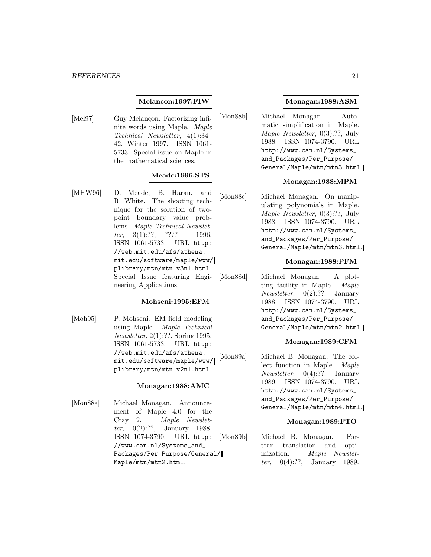#### **Melancon:1997:FIW**

[Mel97] Guy Melancon. Factorizing infinite words using Maple. Maple Technical Newsletter, 4(1):34– 42, Winter 1997. ISSN 1061- 5733. Special issue on Maple in the mathematical sciences.

### **Meade:1996:STS**

[MHW96] D. Meade, B. Haran, and R. White. The shooting technique for the solution of twopoint boundary value problems. Maple Technical Newsletter, 3(1):??, ???? 1996. ISSN 1061-5733. URL http: //web.mit.edu/afs/athena. mit.edu/software/maple/www/ plibrary/mtn/mtn-v3n1.html. Special Issue featuring Engineering Applications.

#### **Mohseni:1995:EFM**

[Moh95] P. Mohseni. EM field modeling using Maple. Maple Technical Newsletter, 2(1):??, Spring 1995. ISSN 1061-5733. URL http: //web.mit.edu/afs/athena. mit.edu/software/maple/www/ plibrary/mtn/mtn-v2n1.html.

#### **Monagan:1988:AMC**

[Mon88a] Michael Monagan. Announcement of Maple 4.0 for the Cray 2. Maple Newsletter, 0(2):??, January 1988. ISSN 1074-3790. URL http: //www.can.nl/Systems\_and\_ Packages/Per\_Purpose/General/ Maple/mtn/mtn2.html.

#### **Monagan:1988:ASM**

[Mon88b] Michael Monagan. Automatic simplification in Maple. Maple Newsletter, 0(3):??, July 1988. ISSN 1074-3790. URL http://www.can.nl/Systems\_ and\_Packages/Per\_Purpose/ General/Maple/mtn/mtn3.html.

#### **Monagan:1988:MPM**

[Mon88c] Michael Monagan. On manipulating polynomials in Maple. Maple Newsletter, 0(3):??, July 1988. ISSN 1074-3790. URL http://www.can.nl/Systems\_ and\_Packages/Per\_Purpose/ General/Maple/mtn/mtn3.html.

#### **Monagan:1988:PFM**

[Mon88d] Michael Monagan. A plotting facility in Maple. Maple *Newsletter*,  $0(2):$ ??, January 1988. ISSN 1074-3790. URL http://www.can.nl/Systems\_ and\_Packages/Per\_Purpose/ General/Maple/mtn/mtn2.html.

#### **Monagan:1989:CFM**

[Mon89a] Michael B. Monagan. The collect function in Maple. Maple Newsletter, 0(4):??, January 1989. ISSN 1074-3790. URL http://www.can.nl/Systems\_ and\_Packages/Per\_Purpose/ General/Maple/mtn/mtn4.html.

#### **Monagan:1989:FTO**

[Mon89b] Michael B. Monagan. Fortran translation and optimization. Maple Newsletter, 0(4):??, January 1989.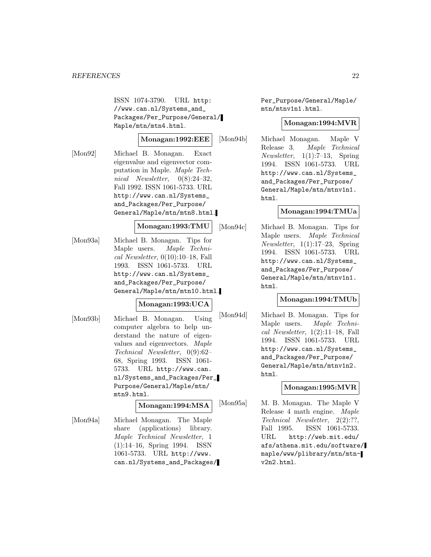ISSN 1074-3790. URL http: //www.can.nl/Systems\_and\_ Packages/Per\_Purpose/General/ Maple/mtn/mtn4.html.

#### **Monagan:1992:EEE**

[Mon92] Michael B. Monagan. Exact eigenvalue and eigenvector computation in Maple. Maple Technical Newsletter, 0(8):24–32, Fall 1992. ISSN 1061-5733. URL http://www.can.nl/Systems\_ and\_Packages/Per\_Purpose/ General/Maple/mtn/mtn8.html.

**Monagan:1993:TMU**

[Mon93a] Michael B. Monagan. Tips for Maple users. Maple Technical Newsletter, 0(10):10–18, Fall 1993. ISSN 1061-5733. URL http://www.can.nl/Systems\_ and\_Packages/Per\_Purpose/ General/Maple/mtn/mtn10.html.

#### **Monagan:1993:UCA**

[Mon93b] Michael B. Monagan. Using computer algebra to help understand the nature of eigenvalues and eigenvectors. Maple Technical Newsletter, 0(9):62– 68, Spring 1993. ISSN 1061- 5733. URL http://www.can. nl/Systems\_and\_Packages/Per\_ Purpose/General/Maple/mtn/ mtn9.html.

**Monagan:1994:MSA**

[Mon94a] Michael Monagan. The Maple share (applications) library. Maple Technical Newsletter, 1 (1):14–16, Spring 1994. ISSN 1061-5733. URL http://www. can.nl/Systems\_and\_Packages/ Per\_Purpose/General/Maple/ mtn/mtnv1n1.html.

#### **Monagan:1994:MVR**

[Mon94b] Michael Monagan. Maple V Release 3. Maple Technical Newsletter, 1(1):7–13, Spring 1994. ISSN 1061-5733. URL http://www.can.nl/Systems\_ and\_Packages/Per\_Purpose/ General/Maple/mtn/mtnv1n1. html.

#### **Monagan:1994:TMUa**

[Mon94c] Michael B. Monagan. Tips for Maple users. Maple Technical Newsletter, 1(1):17–23, Spring 1994. ISSN 1061-5733. URL http://www.can.nl/Systems\_ and\_Packages/Per\_Purpose/ General/Maple/mtn/mtnv1n1. html.

#### **Monagan:1994:TMUb**

[Mon94d] Michael B. Monagan. Tips for Maple users. Maple Technical Newsletter, 1(2):11–18, Fall 1994. ISSN 1061-5733. URL http://www.can.nl/Systems\_ and\_Packages/Per\_Purpose/ General/Maple/mtn/mtnv1n2. html.

#### **Monagan:1995:MVR**

[Mon95a] M. B. Monagan. The Maple V Release 4 math engine. Maple Technical Newsletter, 2(2):??, Fall 1995. ISSN 1061-5733. URL http://web.mit.edu/ afs/athena.mit.edu/software/ maple/www/plibrary/mtn/mtnv2n2.html.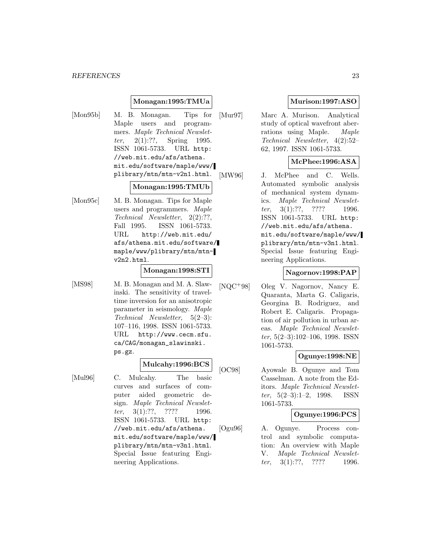#### **Monagan:1995:TMUa**

[Mon95b] M. B. Monagan. Tips for Maple users and programmers. Maple Technical Newsletter, 2(1):??, Spring 1995. ISSN 1061-5733. URL http: //web.mit.edu/afs/athena. mit.edu/software/maple/www/ plibrary/mtn/mtn-v2n1.html.

#### **Monagan:1995:TMUb**

[Mon95c] M. B. Monagan. Tips for Maple users and programmers. Maple Technical Newsletter, 2(2):??, Fall 1995. ISSN 1061-5733. URL http://web.mit.edu/ afs/athena.mit.edu/software/ maple/www/plibrary/mtn/mtnv2n2.html.

#### **Monagan:1998:STI**

[MS98] M. B. Monagan and M. A. Slawinski. The sensitivity of traveltime inversion for an anisotropic parameter in seismology. Maple Technical Newsletter, 5(2–3): 107–116, 1998. ISSN 1061-5733. URL http://www.cecm.sfu. ca/CAG/monagan\_slawinski. ps.gz.

## **Mulcahy:1996:BCS**

[Mul96] C. Mulcahy. The basic curves and surfaces of computer aided geometric design. Maple Technical Newsletter,  $3(1):??$ , ???? 1996. ISSN 1061-5733. URL http: //web.mit.edu/afs/athena. mit.edu/software/maple/www/ plibrary/mtn/mtn-v3n1.html. Special Issue featuring Engineering Applications.

## **Murison:1997:ASO**

[Mur97] Marc A. Murison. Analytical study of optical wavefront aberrations using Maple. Maple Technical Newsletter, 4(2):52– 62, 1997. ISSN 1061-5733.

## **McPhee:1996:ASA**

[MW96] J. McPhee and C. Wells. Automated symbolic analysis of mechanical system dynamics. Maple Technical Newsletter, 3(1):??, ???? 1996. ISSN 1061-5733. URL http: //web.mit.edu/afs/athena. mit.edu/software/maple/www/ plibrary/mtn/mtn-v3n1.html. Special Issue featuring Engineering Applications.

#### **Nagornov:1998:PAP**

[NQC<sup>+</sup>98] Oleg V. Nagornov, Nancy E. Quaranta, Marta G. Caligaris, Georgina B. Rodriguez, and Robert E. Caligaris. Propagation of air pollution in urban areas. Maple Technical Newsletter, 5(2–3):102–106, 1998. ISSN 1061-5733.

#### **Ogunye:1998:NE**

[OC98] Ayowale B. Ogunye and Tom Casselman. A note from the Editors. Maple Technical Newsletter,  $5(2-3):1-2$ , 1998. ISSN 1061-5733.

#### **Ogunye:1996:PCS**

[Ogu96] A. Ogunye. Process control and symbolic computation: An overview with Maple V. Maple Technical Newsletter,  $3(1):??$ ,  $????$  1996.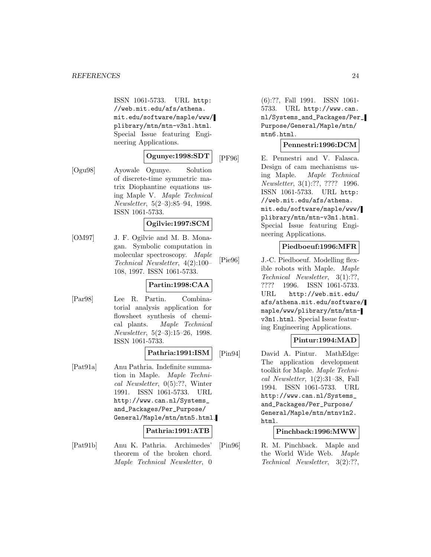#### *REFERENCES* 24

ISSN 1061-5733. URL http: //web.mit.edu/afs/athena. mit.edu/software/maple/www/ plibrary/mtn/mtn-v3n1.html. Special Issue featuring Engineering Applications.

## **Ogunye:1998:SDT**

[Ogu98] Ayowale Ogunye. Solution of discrete-time symmetric matrix Diophantine equations using Maple V. Maple Technical Newsletter, 5(2–3):85–94, 1998. ISSN 1061-5733.

#### **Ogilvie:1997:SCM**

[OM97] J. F. Ogilvie and M. B. Monagan. Symbolic computation in molecular spectroscopy. Maple Technical Newsletter, 4(2):100– 108, 1997. ISSN 1061-5733.

#### **Partin:1998:CAA**

[Par98] Lee R. Partin. Combinatorial analysis application for flowsheet synthesis of chemical plants. Maple Technical Newsletter, 5(2–3):15–26, 1998. ISSN 1061-5733.

#### **Pathria:1991:ISM**

[Pat91a] Anu Pathria. Indefinite summation in Maple. Maple Technical Newsletter, 0(5):??, Winter 1991. ISSN 1061-5733. URL http://www.can.nl/Systems\_ and\_Packages/Per\_Purpose/ General/Maple/mtn/mtn5.html.

#### **Pathria:1991:ATB**

[Pat91b] Anu K. Pathria. Archimedes' theorem of the broken chord. Maple Technical Newsletter, 0

(6):??, Fall 1991. ISSN 1061- 5733. URL http://www.can. nl/Systems\_and\_Packages/Per\_ Purpose/General/Maple/mtn/ mtn6.html.

#### **Pennestri:1996:DCM**

[PF96] E. Pennestri and V. Falasca. Design of cam mechanisms using Maple. Maple Technical Newsletter, 3(1):??, ???? 1996. ISSN 1061-5733. URL http: //web.mit.edu/afs/athena. mit.edu/software/maple/www/ plibrary/mtn/mtn-v3n1.html. Special Issue featuring Engineering Applications.

#### **Piedboeuf:1996:MFR**

[Pie96] J.-C. Piedboeuf. Modelling flexible robots with Maple. Maple Technical Newsletter, 3(1):??, ???? 1996. ISSN 1061-5733. URL http://web.mit.edu/ afs/athena.mit.edu/software/ maple/www/plibrary/mtn/mtnv3n1.html. Special Issue featuring Engineering Applications.

## **Pintur:1994:MAD**

[Pin94] David A. Pintur. MathEdge: The application development toolkit for Maple. Maple Technical Newsletter, 1(2):31–38, Fall 1994. ISSN 1061-5733. URL http://www.can.nl/Systems\_ and\_Packages/Per\_Purpose/ General/Maple/mtn/mtnv1n2. html.

#### **Pinchback:1996:MWW**

[Pin96] R. M. Pinchback. Maple and the World Wide Web. Maple Technical Newsletter, 3(2):??,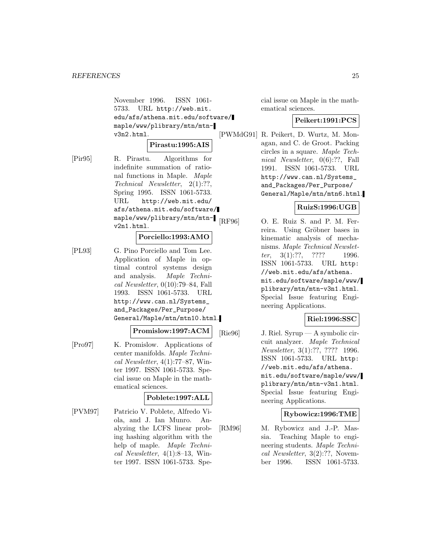November 1996. ISSN 1061- 5733. URL http://web.mit. edu/afs/athena.mit.edu/software/ maple/www/plibrary/mtn/mtnv3n2.html.

#### **Pirastu:1995:AIS**

[Pir95] R. Pirastu. Algorithms for indefinite summation of rational functions in Maple. Maple Technical Newsletter, 2(1):??, Spring 1995. ISSN 1061-5733. URL http://web.mit.edu/ afs/athena.mit.edu/software/ maple/www/plibrary/mtn/mtnv2n1.html.

#### **Porciello:1993:AMO**

[PL93] G. Pino Porciello and Tom Lee. Application of Maple in optimal control systems design and analysis. Maple Technical Newsletter, 0(10):79–84, Fall 1993. ISSN 1061-5733. URL http://www.can.nl/Systems\_ and\_Packages/Per\_Purpose/ General/Maple/mtn/mtn10.html.

#### **Promislow:1997:ACM**

[Pro97] K. Promislow. Applications of center manifolds. Maple Technical Newsletter,  $4(1)$ :77–87, Winter 1997. ISSN 1061-5733. Special issue on Maple in the mathematical sciences.

#### **Poblete:1997:ALL**

[PVM97] Patricio V. Poblete, Alfredo Viola, and J. Ian Munro. Analyzing the LCFS linear probing hashing algorithm with the help of maple. Maple Technical Newsletter,  $4(1):8-13$ , Winter 1997. ISSN 1061-5733. Special issue on Maple in the mathematical sciences.

#### **Peikert:1991:PCS**

[PWMdG91] R. Peikert, D. Wurtz, M. Monagan, and C. de Groot. Packing circles in a square. Maple Technical Newsletter, 0(6):??, Fall 1991. ISSN 1061-5733. URL http://www.can.nl/Systems\_ and\_Packages/Per\_Purpose/ General/Maple/mtn/mtn6.html.

#### **RuizS:1996:UGB**

[RF96] O. E. Ruiz S. and P. M. Ferreira. Using Gröbner bases in kinematic analysis of mechanisms. Maple Technical Newsletter, 3(1):??, ???? 1996. ISSN 1061-5733. URL http: //web.mit.edu/afs/athena. mit.edu/software/maple/www/ plibrary/mtn/mtn-v3n1.html. Special Issue featuring Engineering Applications.

#### **Riel:1996:SSC**

[Rie96] J. Riel. Syrup — A symbolic circuit analyzer. Maple Technical Newsletter, 3(1):??, ???? 1996. ISSN 1061-5733. URL http: //web.mit.edu/afs/athena. mit.edu/software/maple/www/ plibrary/mtn/mtn-v3n1.html. Special Issue featuring Engineering Applications.

#### **Rybowicz:1996:TME**

[RM96] M. Rybowicz and J.-P. Massia. Teaching Maple to engineering students. Maple Technical Newsletter, 3(2):??, November 1996. ISSN 1061-5733.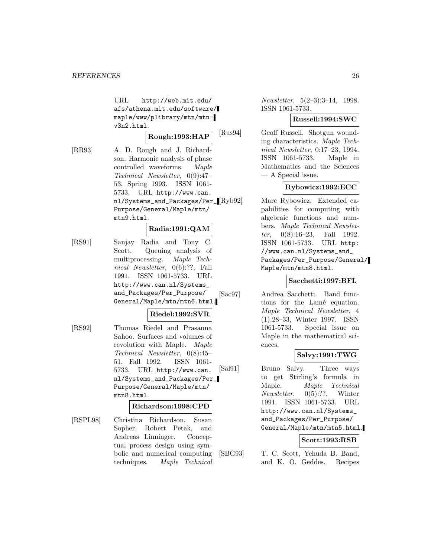URL http://web.mit.edu/ afs/athena.mit.edu/software/ maple/www/plibrary/mtn/mtnv3n2.html.

**Rough:1993:HAP**

[RR93] A. D. Rough and J. Richardson. Harmonic analysis of phase controlled waveforms. Maple Technical Newsletter, 0(9):47– 53, Spring 1993. ISSN 1061- 5733. URL http://www.can. nl/Systems\_and\_Packages/Per\_ Purpose/General/Maple/mtn/ mtn9.html.

## **Radia:1991:QAM**

[RS91] Sanjay Radia and Tony C. Scott. Queuing analysis of multiprocessing. Maple Technical Newsletter, 0(6):??, Fall 1991. ISSN 1061-5733. URL http://www.can.nl/Systems\_ and\_Packages/Per\_Purpose/ General/Maple/mtn/mtn6.html.

## **Riedel:1992:SVR**

[RS92] Thomas Riedel and Prasanna Sahoo. Surfaces and volumes of revolution with Maple. Maple Technical Newsletter, 0(8):45– 51, Fall 1992. ISSN 1061- 5733. URL http://www.can. nl/Systems\_and\_Packages/Per\_ Purpose/General/Maple/mtn/ mtn8.html.

### **Richardson:1998:CPD**

[RSPL98] Christina Richardson, Susan Sopher, Robert Petak, and Andreas Linninger. Conceptual process design using symbolic and numerical computing techniques. Maple Technical

Newsletter, 5(2–3):3–14, 1998. ISSN 1061-5733.

## **Russell:1994:SWC**

[Rus94] Geoff Russell. Shotgun wounding characteristics. Maple Technical Newsletter, 0:17–23, 1994. ISSN 1061-5733. Maple in Mathematics and the Sciences — A Special issue.

## **Rybowicz:1992:ECC**

Marc Rybowicz. Extended capabilities for computing with algebraic functions and numbers. Maple Technical Newsletter,  $0(8):16-23$ , Fall 1992. ISSN 1061-5733. URL http: //www.can.nl/Systems\_and\_ Packages/Per\_Purpose/General/ Maple/mtn/mtn8.html.

### **Sacchetti:1997:BFL**

[Sac97] Andrea Sacchetti. Band functions for the Lamé equation. Maple Technical Newsletter, 4 (1):28–33, Winter 1997. ISSN 1061-5733. Special issue on Maple in the mathematical sciences.

## **Salvy:1991:TWG**

[Sal91] Bruno Salvy. Three ways to get Stirling's formula in Maple. Maple Technical Newsletter, 0(5):??, Winter 1991. ISSN 1061-5733. URL http://www.can.nl/Systems\_ and\_Packages/Per\_Purpose/ General/Maple/mtn/mtn5.html.

## **Scott:1993:RSB**

[SBG93] T. C. Scott, Yehuda B. Band, and K. O. Geddes. Recipes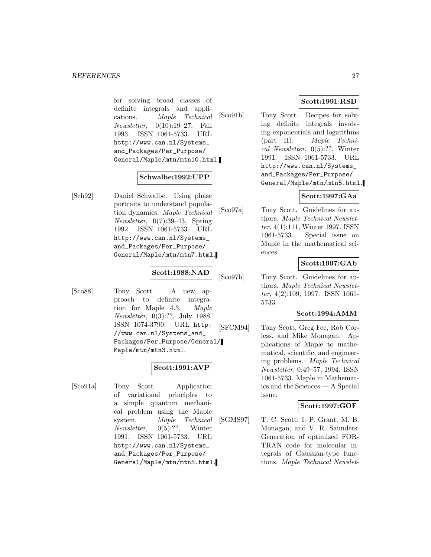for solving broad classes of definite integrals and applications. Maple Technical Newsletter, 0(10):19–27, Fall 1993. ISSN 1061-5733. URL http://www.can.nl/Systems\_ and\_Packages/Per\_Purpose/ General/Maple/mtn/mtn10.html.

#### **Schwalbe:1992:UPP**

[Sch92] Daniel Schwalbe. Using phase portraits to understand population dynamics. Maple Technical Newsletter, 0(7):39–43, Spring 1992. ISSN 1061-5733. URL http://www.can.nl/Systems\_ and\_Packages/Per\_Purpose/ General/Maple/mtn/mtn7.html.

#### **Scott:1988:NAD**

[Sco88] Tony Scott. A new approach to definite integration for Maple 4.3. Maple Newsletter, 0(3):??, July 1988. ISSN 1074-3790. URL http: //www.can.nl/Systems\_and\_ Packages/Per\_Purpose/General/ Maple/mtn/mtn3.html.

### **Scott:1991:AVP**

[Sco91a] Tony Scott. Application of variational principles to a simple quantum mechanical problem using the Maple system. Maple Technical Newsletter, 0(5):??, Winter 1991. ISSN 1061-5733. URL http://www.can.nl/Systems\_ and\_Packages/Per\_Purpose/ General/Maple/mtn/mtn5.html.

### **Scott:1991:RSD**

[Sco91b] Tony Scott. Recipes for solving definite integrals involving exponentials and logarithms (part II). Maple Technical Newsletter, 0(5):??, Winter 1991. ISSN 1061-5733. URL http://www.can.nl/Systems\_ and\_Packages/Per\_Purpose/ General/Maple/mtn/mtn5.html.

## **Scott:1997:GAa**

[Sco97a] Tony Scott. Guidelines for authors. Maple Technical Newsletter, 4(1):111, Winter 1997. ISSN 1061-5733. Special issue on Maple in the mathematical sciences.

### **Scott:1997:GAb**

[Sco97b] Tony Scott. Guidelines for authors. Maple Technical Newsletter, 4(2):109, 1997. ISSN 1061- 5733.

## **Scott:1994:AMM**

[SFCM94] Tony Scott, Greg Fee, Rob Corless, and Mike Monagan. Applications of Maple to mathematical, scientific, and engineering problems. Maple Technical Newsletter, 0:49–57, 1994. ISSN 1061-5733. Maple in Mathematics and the Sciences — A Special issue.

## **Scott:1997:GOF**

[SGMS97] T. C. Scott, I. P. Grant, M. B. Monagan, and V. R. Saunders. Generation of optimized FOR-TRAN code for molecular integrals of Gaussian-type functions. Maple Technical Newslet-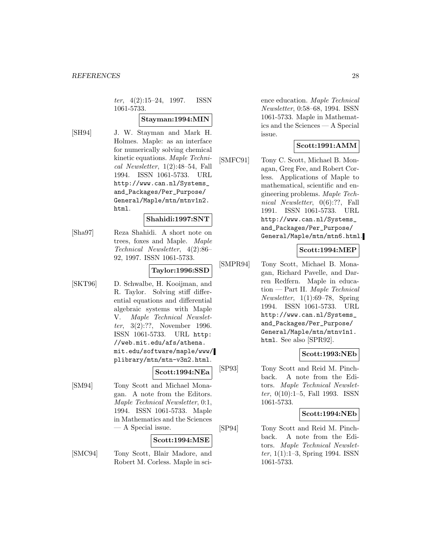ter, 4(2):15–24, 1997. ISSN 1061-5733.

#### **Stayman:1994:MIN**

[SH94] J. W. Stayman and Mark H. Holmes. Maple: as an interface for numerically solving chemical kinetic equations. Maple Technical Newsletter, 1(2):48–54, Fall 1994. ISSN 1061-5733. URL http://www.can.nl/Systems\_ and\_Packages/Per\_Purpose/ General/Maple/mtn/mtnv1n2. html.

### **Shahidi:1997:SNT**

[Sha97] Reza Shahidi. A short note on trees, foxes and Maple. Maple Technical Newsletter, 4(2):86– 92, 1997. ISSN 1061-5733.

## **Taylor:1996:SSD**

[SKT96] D. Schwalbe, H. Kooijman, and R. Taylor. Solving stiff differential equations and differential algebraic systems with Maple V. Maple Technical Newsletter, 3(2):??, November 1996. ISSN 1061-5733. URL http: //web.mit.edu/afs/athena. mit.edu/software/maple/www/ plibrary/mtn/mtn-v3n2.html.

#### **Scott:1994:NEa**

[SM94] Tony Scott and Michael Monagan. A note from the Editors. Maple Technical Newsletter, 0:1, 1994. ISSN 1061-5733. Maple in Mathematics and the Sciences — A Special issue.

#### **Scott:1994:MSE**

[SMC94] Tony Scott, Blair Madore, and Robert M. Corless. Maple in sci-

ence education. Maple Technical Newsletter, 0:58–68, 1994. ISSN 1061-5733. Maple in Mathematics and the Sciences — A Special issue.

#### **Scott:1991:AMM**

[SMFC91] Tony C. Scott, Michael B. Monagan, Greg Fee, and Robert Corless. Applications of Maple to mathematical, scientific and engineering problems. Maple Technical Newsletter, 0(6):??, Fall 1991. ISSN 1061-5733. URL http://www.can.nl/Systems\_ and\_Packages/Per\_Purpose/ General/Maple/mtn/mtn6.html.

#### **Scott:1994:MEP**

[SMPR94] Tony Scott, Michael B. Monagan, Richard Pavelle, and Darren Redfern. Maple in education — Part II. Maple Technical Newsletter, 1(1):69–78, Spring 1994. ISSN 1061-5733. URL http://www.can.nl/Systems\_ and\_Packages/Per\_Purpose/ General/Maple/mtn/mtnv1n1. html. See also [SPR92].

#### **Scott:1993:NEb**

[SP93] Tony Scott and Reid M. Pinchback. A note from the Editors. Maple Technical Newsletter, 0(10):1–5, Fall 1993. ISSN 1061-5733.

#### **Scott:1994:NEb**

[SP94] Tony Scott and Reid M. Pinchback. A note from the Editors. Maple Technical Newsletter, 1(1):1–3, Spring 1994. ISSN 1061-5733.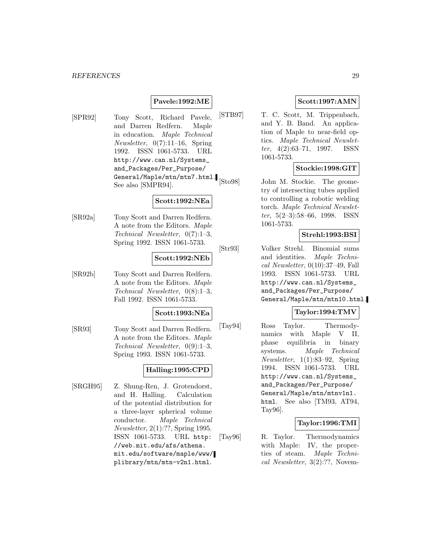#### **Pavele:1992:ME**

[SPR92] Tony Scott, Richard Pavele, and Darren Redfern. Maple in education. Maple Technical *Newsletter*,  $0(7):11-16$ , Spring 1992. ISSN 1061-5733. URL http://www.can.nl/Systems\_ and\_Packages/Per\_Purpose/ General/Maple/mtn/mtn7.html. See also [SMPR94].

## **Scott:1992:NEa**

[SR92a] Tony Scott and Darren Redfern. A note from the Editors. Maple Technical Newsletter, 0(7):1–3, Spring 1992. ISSN 1061-5733.

#### **Scott:1992:NEb**

[SR92b] Tony Scott and Darren Redfern. A note from the Editors. Maple Technical Newsletter, 0(8):1–3, Fall 1992. ISSN 1061-5733.

#### **Scott:1993:NEa**

[SR93] Tony Scott and Darren Redfern. A note from the Editors. Maple Technical Newsletter, 0(9):1–3, Spring 1993. ISSN 1061-5733.

## **Halling:1995:CPD**

[SRGH95] Z. Shung-Ren, J. Grotendorst, and H. Halling. Calculation of the potential distribution for a three-layer spherical volume conductor. Maple Technical Newsletter, 2(1):??, Spring 1995. ISSN 1061-5733. URL http: //web.mit.edu/afs/athena. mit.edu/software/maple/www/ plibrary/mtn/mtn-v2n1.html.

## **Scott:1997:AMN**

[STB97] T. C. Scott, M. Trippenbach, and Y. B. Band. An application of Maple to near-field optics. Maple Technical Newsletter, 4(2):63–71, 1997. ISSN 1061-5733.

### **Stockie:1998:GIT**

[Sto98] John M. Stockie. The geometry of intersecting tubes applied to controlling a robotic welding torch. Maple Technical Newsletter,  $5(2-3):58-66$ , 1998. ISSN 1061-5733.

### **Strehl:1993:BSI**

[Str93] Volker Strehl. Binomial sums and identities. Maple Technical Newsletter, 0(10):37–49, Fall 1993. ISSN 1061-5733. URL http://www.can.nl/Systems\_ and\_Packages/Per\_Purpose/ General/Maple/mtn/mtn10.html.

## **Taylor:1994:TMV**

[Tay94] Ross Taylor. Thermodynamics with Maple V II, phase equilibria in binary systems. Maple Technical Newsletter, 1(1):83–92, Spring 1994. ISSN 1061-5733. URL http://www.can.nl/Systems\_ and\_Packages/Per\_Purpose/ General/Maple/mtn/mtnv1n1. html. See also [TM93, AT94, Tay96].

#### **Taylor:1996:TMI**

[Tay96] R. Taylor. Thermodynamics with Maple: IV, the properties of steam. Maple Technical Newsletter, 3(2):??, Novem